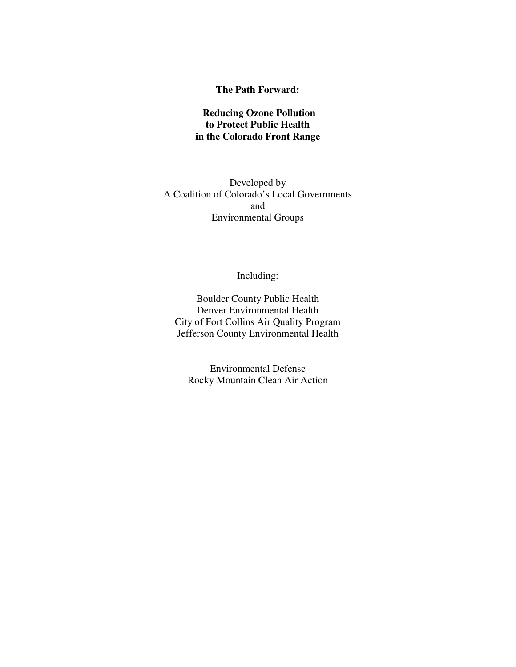#### **The Path Forward:**

#### **Reducing Ozone Pollution to Protect Public Health in the Colorado Front Range**

#### Developed by A Coalition of Colorado's Local Governments and Environmental Groups

Including:

Boulder County Public Health Denver Environmental Health City of Fort Collins Air Quality Program Jefferson County Environmental Health

Environmental Defense Rocky Mountain Clean Air Action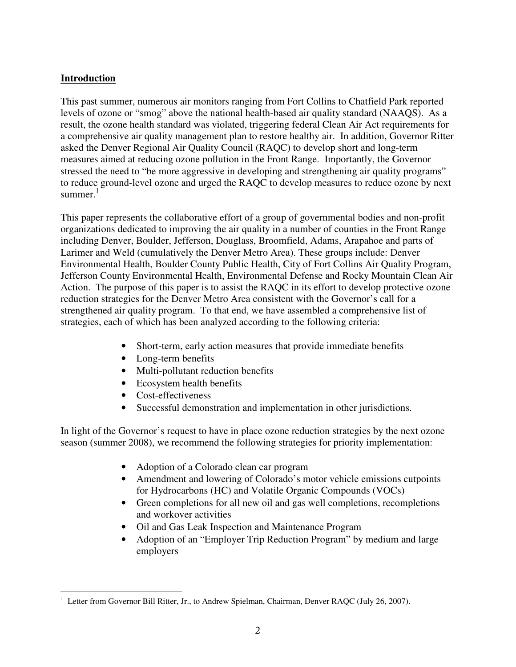#### **Introduction**

-

This past summer, numerous air monitors ranging from Fort Collins to Chatfield Park reported levels of ozone or "smog" above the national health-based air quality standard (NAAQS). As a result, the ozone health standard was violated, triggering federal Clean Air Act requirements for a comprehensive air quality management plan to restore healthy air. In addition, Governor Ritter asked the Denver Regional Air Quality Council (RAQC) to develop short and long-term measures aimed at reducing ozone pollution in the Front Range. Importantly, the Governor stressed the need to "be more aggressive in developing and strengthening air quality programs" to reduce ground-level ozone and urged the RAQC to develop measures to reduce ozone by next summer.<sup>1</sup>

This paper represents the collaborative effort of a group of governmental bodies and non-profit organizations dedicated to improving the air quality in a number of counties in the Front Range including Denver, Boulder, Jefferson, Douglass, Broomfield, Adams, Arapahoe and parts of Larimer and Weld (cumulatively the Denver Metro Area). These groups include: Denver Environmental Health, Boulder County Public Health, City of Fort Collins Air Quality Program, Jefferson County Environmental Health, Environmental Defense and Rocky Mountain Clean Air Action. The purpose of this paper is to assist the RAQC in its effort to develop protective ozone reduction strategies for the Denver Metro Area consistent with the Governor's call for a strengthened air quality program. To that end, we have assembled a comprehensive list of strategies, each of which has been analyzed according to the following criteria:

- Short-term, early action measures that provide immediate benefits
- Long-term benefits
- Multi-pollutant reduction benefits
- Ecosystem health benefits
- Cost-effectiveness
- Successful demonstration and implementation in other jurisdictions.

In light of the Governor's request to have in place ozone reduction strategies by the next ozone season (summer 2008), we recommend the following strategies for priority implementation:

- Adoption of a Colorado clean car program
- Amendment and lowering of Colorado's motor vehicle emissions cutpoints for Hydrocarbons (HC) and Volatile Organic Compounds (VOCs)
- Green completions for all new oil and gas well completions, recompletions and workover activities
- Oil and Gas Leak Inspection and Maintenance Program
- Adoption of an "Employer Trip Reduction Program" by medium and large employers

<sup>&</sup>lt;sup>1</sup> Letter from Governor Bill Ritter, Jr., to Andrew Spielman, Chairman, Denver RAQC (July 26, 2007).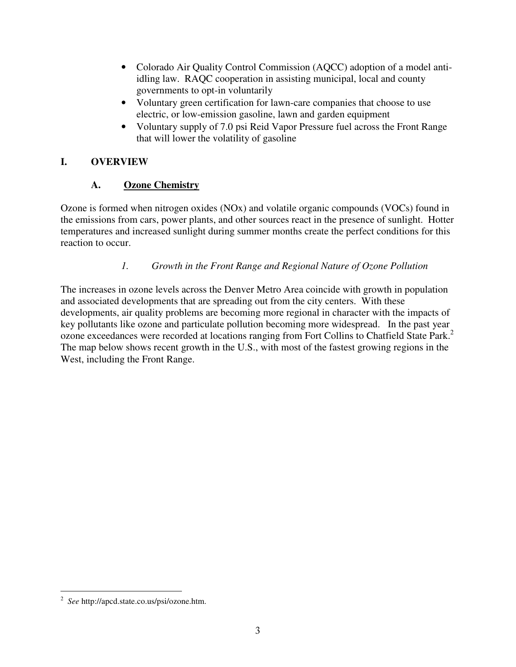- Colorado Air Quality Control Commission (AQCC) adoption of a model antiidling law. RAQC cooperation in assisting municipal, local and county governments to opt-in voluntarily
- Voluntary green certification for lawn-care companies that choose to use electric, or low-emission gasoline, lawn and garden equipment
- Voluntary supply of 7.0 psi Reid Vapor Pressure fuel across the Front Range that will lower the volatility of gasoline

## **I. OVERVIEW**

# **A. Ozone Chemistry**

Ozone is formed when nitrogen oxides (NOx) and volatile organic compounds (VOCs) found in the emissions from cars, power plants, and other sources react in the presence of sunlight. Hotter temperatures and increased sunlight during summer months create the perfect conditions for this reaction to occur.

# *1. Growth in the Front Range and Regional Nature of Ozone Pollution*

The increases in ozone levels across the Denver Metro Area coincide with growth in population and associated developments that are spreading out from the city centers. With these developments, air quality problems are becoming more regional in character with the impacts of key pollutants like ozone and particulate pollution becoming more widespread. In the past year ozone exceedances were recorded at locations ranging from Fort Collins to Chatfield State Park. 2 The map below shows recent growth in the U.S., with most of the fastest growing regions in the West, including the Front Range.

-

<sup>2</sup> *See* http://apcd.state.co.us/psi/ozone.htm.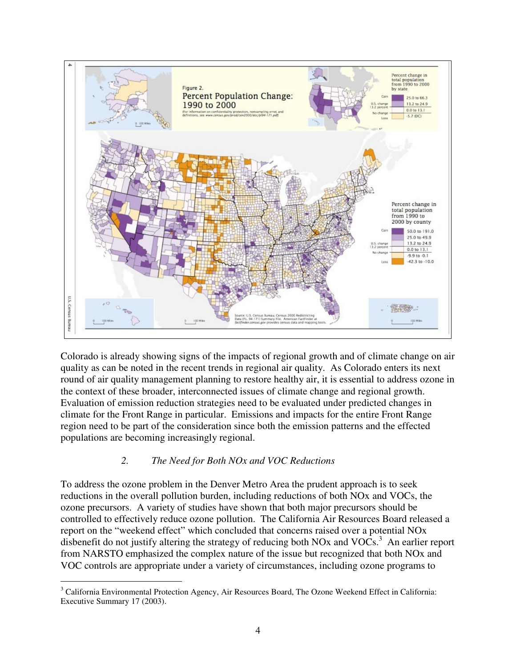

Colorado is already showing signs of the impacts of regional growth and of climate change on air quality as can be noted in the recent trends in regional air quality. As Colorado enters its next round of air quality management planning to restore healthy air, it is essential to address ozone in the context of these broader, interconnected issues of climate change and regional growth. Evaluation of emission reduction strategies need to be evaluated under predicted changes in climate for the Front Range in particular. Emissions and impacts for the entire Front Range region need to be part of the consideration since both the emission patterns and the effected populations are becoming increasingly regional.

#### *2. The Need for Both NOx and VOC Reductions*

To address the ozone problem in the Denver Metro Area the prudent approach is to seek reductions in the overall pollution burden, including reductions of both NOx and VOCs, the ozone precursors. A variety of studies have shown that both major precursors should be controlled to effectively reduce ozone pollution. The California Air Resources Board released a report on the "weekend effect" which concluded that concerns raised over a potential NOx disbenefit do not justify altering the strategy of reducing both NOx and VOCs.<sup>3</sup> An earlier report from NARSTO emphasized the complex nature of the issue but recognized that both NOx and VOC controls are appropriate under a variety of circumstances, including ozone programs to

<sup>-</sup> $3$  California Environmental Protection Agency, Air Resources Board, The Ozone Weekend Effect in California: Executive Summary 17 (2003).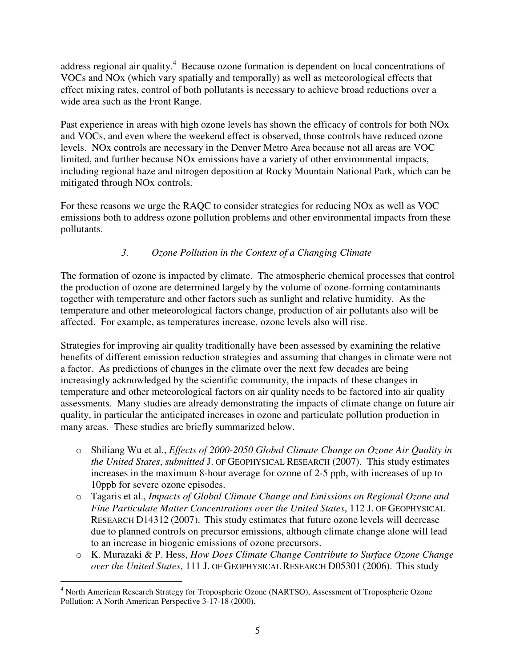address regional air quality.<sup>4</sup> Because ozone formation is dependent on local concentrations of VOCs and NOx (which vary spatially and temporally) as well as meteorological effects that effect mixing rates, control of both pollutants is necessary to achieve broad reductions over a wide area such as the Front Range.

Past experience in areas with high ozone levels has shown the efficacy of controls for both NOx and VOCs, and even where the weekend effect is observed, those controls have reduced ozone levels. NOx controls are necessary in the Denver Metro Area because not all areas are VOC limited, and further because NOx emissions have a variety of other environmental impacts, including regional haze and nitrogen deposition at Rocky Mountain National Park, which can be mitigated through NOx controls.

For these reasons we urge the RAQC to consider strategies for reducing NOx as well as VOC emissions both to address ozone pollution problems and other environmental impacts from these pollutants.

# *3. Ozone Pollution in the Context of a Changing Climate*

The formation of ozone is impacted by climate. The atmospheric chemical processes that control the production of ozone are determined largely by the volume of ozone-forming contaminants together with temperature and other factors such as sunlight and relative humidity. As the temperature and other meteorological factors change, production of air pollutants also will be affected. For example, as temperatures increase, ozone levels also will rise.

Strategies for improving air quality traditionally have been assessed by examining the relative benefits of different emission reduction strategies and assuming that changes in climate were not a factor. As predictions of changes in the climate over the next few decades are being increasingly acknowledged by the scientific community, the impacts of these changes in temperature and other meteorological factors on air quality needs to be factored into air quality assessments. Many studies are already demonstrating the impacts of climate change on future air quality, in particular the anticipated increases in ozone and particulate pollution production in many areas. These studies are briefly summarized below.

- o Shiliang Wu et al., *Effects of 2000-2050 Global Climate Change on Ozone Air Quality in the United States*, *submitted* J. OF GEOPHYSICAL RESEARCH (2007). This study estimates increases in the maximum 8-hour average for ozone of 2-5 ppb, with increases of up to 10ppb for severe ozone episodes.
- o Tagaris et al., *Impacts of Global Climate Change and Emissions on Regional Ozone and Fine Particulate Matter Concentrations over the United States*, 112 J. OF GEOPHYSICAL RESEARCH D14312 (2007). This study estimates that future ozone levels will decrease due to planned controls on precursor emissions, although climate change alone will lead to an increase in biogenic emissions of ozone precursors.
- o K. Murazaki & P. Hess, *How Does Climate Change Contribute to Surface Ozone Change over the United States*, 111 J. OF GEOPHYSICAL RESEARCH D05301 (2006). This study

<sup>-</sup><sup>4</sup> North American Research Strategy for Tropospheric Ozone (NARTSO), Assessment of Tropospheric Ozone Pollution: A North American Perspective 3-17-18 (2000).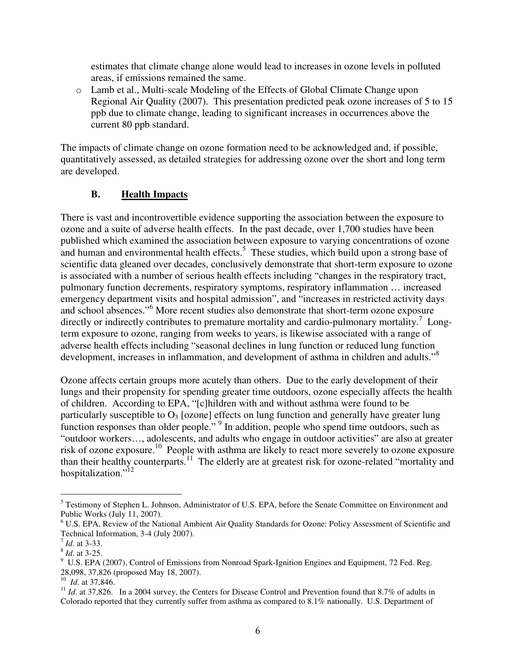estimates that climate change alone would lead to increases in ozone levels in polluted areas, if emissions remained the same.

o Lamb et al., Multi-scale Modeling of the Effects of Global Climate Change upon Regional Air Quality (2007). This presentation predicted peak ozone increases of 5 to 15 ppb due to climate change, leading to significant increases in occurrences above the current 80 ppb standard.

The impacts of climate change on ozone formation need to be acknowledged and, if possible, quantitatively assessed, as detailed strategies for addressing ozone over the short and long term are developed.

#### **B. Health Impacts**

There is vast and incontrovertible evidence supporting the association between the exposure to ozone and a suite of adverse health effects. In the past decade, over 1,700 studies have been published which examined the association between exposure to varying concentrations of ozone and human and environmental health effects. 5 These studies, which build upon a strong base of scientific data gleaned over decades, conclusively demonstrate that short-term exposure to ozone is associated with a number of serious health effects including "changes in the respiratory tract, pulmonary function decrements, respiratory symptoms, respiratory inflammation … increased emergency department visits and hospital admission", and "increases in restricted activity days and school absences." <sup>6</sup> More recent studies also demonstrate that short-term ozone exposure directly or indirectly contributes to premature mortality and cardio-pulmonary mortality.<sup>7</sup> Longterm exposure to ozone, ranging from weeks to years, is likewise associated with a range of adverse health effects including "seasonal declines in lung function or reduced lung function development, increases in inflammation, and development of asthma in children and adults."<sup>8</sup>

Ozone affects certain groups more acutely than others. Due to the early development of their lungs and their propensity for spending greater time outdoors, ozone especially affects the health of children. According to EPA, "[c]hildren with and without asthma were found to be particularly susceptible to  $O_3$  [ozone] effects on lung function and generally have greater lung function responses than older people." <sup>9</sup> In addition, people who spend time outdoors, such as "outdoor workers…, adolescents, and adults who engage in outdoor activities" are also at greater risk of ozone exposure.<sup>10</sup> People with asthma are likely to react more severely to ozone exposure than their healthy counterparts.<sup>11</sup> The elderly are at greatest risk for ozone-related "mortality and hospitalization."<sup>12</sup>

<sup>-</sup><sup>5</sup> Testimony of Stephen L. Johnson, Administrator of U.S. EPA, before the Senate Committee on Environment and Public Works (July 11, 2007).

<sup>6</sup> U.S. EPA, Review of the National Ambient Air Quality Standards for Ozone: Policy Assessment of Scientific and Technical Information, 3-4 (July 2007).

<sup>7</sup> *Id*. at 3-33.

<sup>8</sup> *Id*. at 3-25.

<sup>&</sup>lt;sup>9</sup> U.S. EPA (2007), Control of Emissions from Nonroad Spark-Ignition Engines and Equipment, 72 Fed. Reg. 28,098, 37,826 (proposed May 18, 2007). 10 *Id*. at 37,846.

 $11$  *Id.* at 37,826. In a 2004 survey, the Centers for Disease Control and Prevention found that 8.7% of adults in Colorado reported that they currently suffer from asthma as compared to 8.1% nationally. U.S. Department of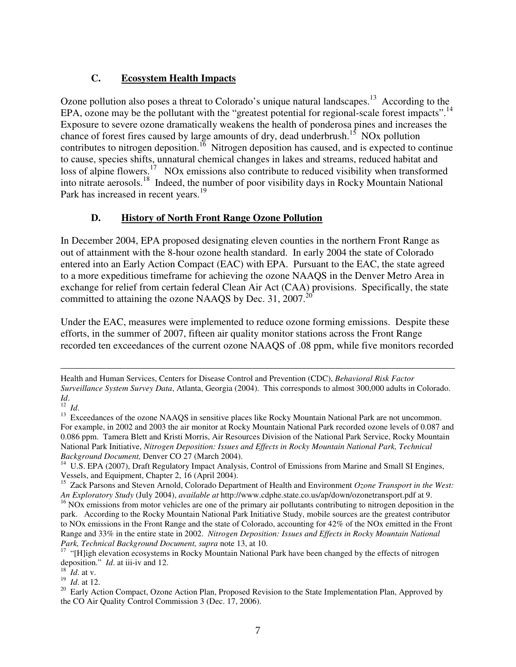### **C. Ecosystem Health Impacts**

Ozone pollution also poses a threat to Colorado's unique natural landscapes.<sup>13</sup> According to the EPA, ozone may be the pollutant with the "greatest potential for regional-scale forest impacts".<sup>14</sup> Exposure to severe ozone dramatically weakens the health of ponderosa pines and increases the chance of forest fires caused by large amounts of dry, dead underbrush.<sup>15</sup> NOx pollution contributes to nitrogen deposition.<sup>16</sup> Nitrogen deposition has caused, and is expected to continue to cause, species shifts, unnatural chemical changes in lakes and streams, reduced habitat and loss of alpine flowers.<sup>17</sup> NOx emissions also contribute to reduced visibility when transformed into nitrate aerosols. 18 Indeed, the number of poor visibility days in Rocky Mountain National Park has increased in recent years.<sup>19</sup>

#### **D. History of North Front Range Ozone Pollution**

In December 2004, EPA proposed designating eleven counties in the northern Front Range as out of attainment with the 8-hour ozone health standard. In early 2004 the state of Colorado entered into an Early Action Compact (EAC) with EPA. Pursuant to the EAC, the state agreed to a more expeditious timeframe for achieving the ozone NAAQS in the Denver Metro Area in exchange for relief from certain federal Clean Air Act (CAA) provisions. Specifically, the state committed to attaining the ozone NAAQS by Dec. 31, 2007.<sup>20</sup>

Under the EAC, measures were implemented to reduce ozone forming emissions. Despite these efforts, in the summer of 2007, fifteen air quality monitor stations across the Front Range recorded ten exceedances of the current ozone NAAQS of .08 ppm, while five monitors recorded

*Id*. 12 *Id*.

-

18 *Id*. at v.

19 *Id*. at 12.

Health and Human Services, Centers for Disease Control and Prevention (CDC), *Behavioral Risk Factor Surveillance System Survey Data*, Atlanta, Georgia (2004). This corresponds to almost 300,000 adults in Colorado.

<sup>&</sup>lt;sup>13</sup> Exceedances of the ozone NAAQS in sensitive places like Rocky Mountain National Park are not uncommon. For example, in 2002 and 2003 the air monitor at Rocky Mountain National Park recorded ozone levels of 0.087 and 0.086 ppm. Tamera Blett and Kristi Morris, Air Resources Division of the National Park Service, Rocky Mountain National Park Initiative, *Nitrogen Deposition: Issues and Effects in Rocky Mountain National Park, Technical Background Document,* Denver CO 27 (March 2004).

<sup>&</sup>lt;sup>14</sup> U.S. EPA (2007), Draft Regulatory Impact Analysis, Control of Emissions from Marine and Small SI Engines, Vessels, and Equipment, Chapter 2, 16 (April 2004).

<sup>15</sup> Zack Parsons and Steven Arnold, Colorado Department of Health and Environment *Ozone Transport in the West: An Exploratory Study* (July 2004), *available at* http://www.cdphe.state.co.us/ap/down/ozonetransport.pdf at 9.

 $16$  NOx emissions from motor vehicles are one of the primary air pollutants contributing to nitrogen deposition in the park. According to the Rocky Mountain National Park Initiative Study, mobile sources are the greatest contributor to NOx emissions in the Front Range and the state of Colorado, accounting for 42% of the NOx emitted in the Front Range and 33% in the entire state in 2002. *Nitrogen Deposition: Issues and Effects in Rocky Mountain National Park, Technical Background Document, supra* note 13, at 10.

<sup>&</sup>lt;sup>17</sup> "[H]igh elevation ecosystems in Rocky Mountain National Park have been changed by the effects of nitrogen deposition." *Id*. at iii-iv and 12.

<sup>&</sup>lt;sup>20</sup> Early Action Compact, Ozone Action Plan, Proposed Revision to the State Implementation Plan, Approved by the CO Air Quality Control Commission 3 (Dec. 17, 2006).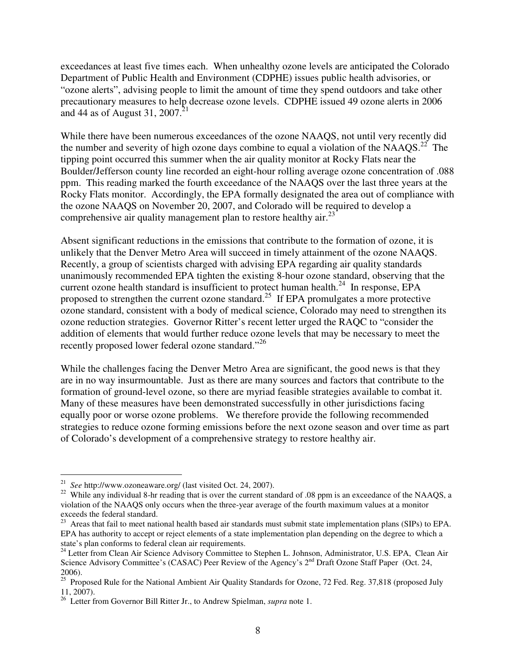exceedances at least five times each. When unhealthy ozone levels are anticipated the Colorado Department of Public Health and Environment (CDPHE) issues public health advisories, or "ozone alerts", advising people to limit the amount of time they spend outdoors and take other precautionary measures to help decrease ozone levels. CDPHE issued 49 ozone alerts in 2006 and 44 as of August 31, 2007.<sup>21</sup>

While there have been numerous exceedances of the ozone NAAQS, not until very recently did the number and severity of high ozone days combine to equal a violation of the NAAQS.<sup>22</sup> The tipping point occurred this summer when the air quality monitor at Rocky Flats near the Boulder/Jefferson county line recorded an eight-hour rolling average ozone concentration of .088 ppm. This reading marked the fourth exceedance of the NAAQS over the last three years at the Rocky Flats monitor. Accordingly, the EPA formally designated the area out of compliance with the ozone NAAQS on November 20, 2007, and Colorado will be required to develop a comprehensive air quality management plan to restore healthy air.<sup>23</sup>

Absent significant reductions in the emissions that contribute to the formation of ozone, it is unlikely that the Denver Metro Area will succeed in timely attainment of the ozone NAAQS. Recently, a group of scientists charged with advising EPA regarding air quality standards unanimously recommended EPA tighten the existing 8-hour ozone standard, observing that the current ozone health standard is insufficient to protect human health. $^{24}$  In response, EPA proposed to strengthen the current ozone standard.<sup>25</sup> If EPA promulgates a more protective ozone standard, consistent with a body of medical science, Colorado may need to strengthen its ozone reduction strategies. Governor Ritter's recent letter urged the RAQC to "consider the addition of elements that would further reduce ozone levels that may be necessary to meet the recently proposed lower federal ozone standard."<sup>26</sup>

While the challenges facing the Denver Metro Area are significant, the good news is that they are in no way insurmountable. Just as there are many sources and factors that contribute to the formation of ground-level ozone, so there are myriad feasible strategies available to combat it. Many of these measures have been demonstrated successfully in other jurisdictions facing equally poor or worse ozone problems. We therefore provide the following recommended strategies to reduce ozone forming emissions before the next ozone season and over time as part of Colorado's development of a comprehensive strategy to restore healthy air.

 21 *See* http://www.ozoneaware.org/ (last visited Oct. 24, 2007).

<sup>&</sup>lt;sup>22</sup> While any individual 8-hr reading that is over the current standard of .08 ppm is an exceedance of the NAAQS, a violation of the NAAQS only occurs when the three-year average of the fourth maximum values at a monitor exceeds the federal standard.

 $^{23}$  Areas that fail to meet national health based air standards must submit state implementation plans (SIPs) to EPA. EPA has authority to accept or reject elements of a state implementation plan depending on the degree to which a state's plan conforms to federal clean air requirements.

<sup>&</sup>lt;sup>24</sup> Letter from Clean Air Science Advisory Committee to Stephen L. Johnson, Administrator, U.S. EPA, Clean Air Science Advisory Committee's (CASAC) Peer Review of the Agency's 2<sup>nd</sup> Draft Ozone Staff Paper (Oct. 24,

<sup>2006).</sup> 25 Proposed Rule for the National Ambient Air Quality Standards for Ozone, 72 Fed. Reg. 37,818 (proposed July 11, 2007).

<sup>26</sup> Letter from Governor Bill Ritter Jr., to Andrew Spielman, *supra* note 1.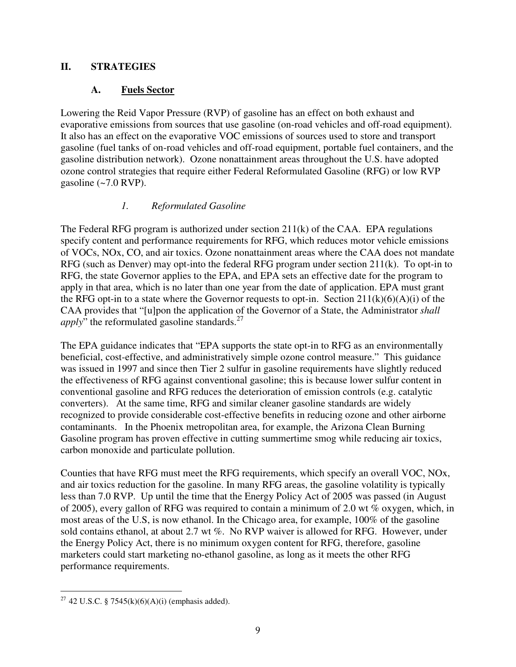#### **II. STRATEGIES**

#### **A. Fuels Sector**

Lowering the Reid Vapor Pressure (RVP) of gasoline has an effect on both exhaust and evaporative emissions from sources that use gasoline (on-road vehicles and off-road equipment). It also has an effect on the evaporative VOC emissions of sources used to store and transport gasoline (fuel tanks of on-road vehicles and off-road equipment, portable fuel containers, and the gasoline distribution network). Ozone nonattainment areas throughout the U.S. have adopted ozone control strategies that require either Federal Reformulated Gasoline (RFG) or low RVP gasoline  $\left(\sim 7.0 \text{ RVP}\right)$ .

#### *1. Reformulated Gasoline*

The Federal RFG program is authorized under section  $211(k)$  of the CAA. EPA regulations specify content and performance requirements for RFG, which reduces motor vehicle emissions of VOCs, NOx, CO, and air toxics. Ozone nonattainment areas where the CAA does not mandate RFG (such as Denver) may opt-into the federal RFG program under section 211(k). To opt-in to RFG, the state Governor applies to the EPA, and EPA sets an effective date for the program to apply in that area, which is no later than one year from the date of application. EPA must grant the RFG opt-in to a state where the Governor requests to opt-in. Section  $211(k)(6)(A)(i)$  of the CAA provides that "[u]pon the application of the Governor of a State, the Administrator *shall apply*<sup>"</sup> the reformulated gasoline standards.<sup>27</sup>

The EPA guidance indicates that "EPA supports the state opt-in to RFG as an environmentally beneficial, cost-effective, and administratively simple ozone control measure." This guidance was issued in 1997 and since then Tier 2 sulfur in gasoline requirements have slightly reduced the effectiveness of RFG against conventional gasoline; this is because lower sulfur content in conventional gasoline and RFG reduces the deterioration of emission controls (e.g. catalytic converters). At the same time, RFG and similar cleaner gasoline standards are widely recognized to provide considerable cost-effective benefits in reducing ozone and other airborne contaminants. In the Phoenix metropolitan area, for example, the Arizona Clean Burning Gasoline program has proven effective in cutting summertime smog while reducing air toxics, carbon monoxide and particulate pollution.

Counties that have RFG must meet the RFG requirements, which specify an overall VOC, NOx, and air toxics reduction for the gasoline. In many RFG areas, the gasoline volatility is typically less than 7.0 RVP. Up until the time that the Energy Policy Act of 2005 was passed (in August of 2005), every gallon of RFG was required to contain a minimum of 2.0 wt % oxygen, which, in most areas of the U.S, is now ethanol. In the Chicago area, for example, 100% of the gasoline sold contains ethanol, at about 2.7 wt %. No RVP waiver is allowed for RFG. However, under the Energy Policy Act, there is no minimum oxygen content for RFG, therefore, gasoline marketers could start marketing no-ethanol gasoline, as long as it meets the other RFG performance requirements.

<sup>-</sup><sup>27</sup> 42 U.S.C. § 7545(k)(6)(A)(i) (emphasis added).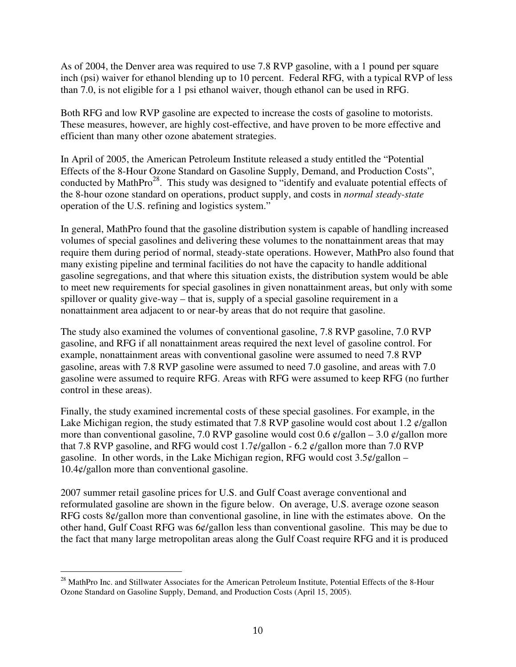As of 2004, the Denver area was required to use 7.8 RVP gasoline, with a 1 pound per square inch (psi) waiver for ethanol blending up to 10 percent. Federal RFG, with a typical RVP of less than 7.0, is not eligible for a 1 psi ethanol waiver, though ethanol can be used in RFG.

Both RFG and low RVP gasoline are expected to increase the costs of gasoline to motorists. These measures, however, are highly cost-effective, and have proven to be more effective and efficient than many other ozone abatement strategies.

In April of 2005, the American Petroleum Institute released a study entitled the "Potential Effects of the 8-Hour Ozone Standard on Gasoline Supply, Demand, and Production Costs", conducted by MathPro<sup>28</sup>. This study was designed to "identify and evaluate potential effects of the 8-hour ozone standard on operations, product supply, and costs in *normal steady-state* operation of the U.S. refining and logistics system."

In general, MathPro found that the gasoline distribution system is capable of handling increased volumes of special gasolines and delivering these volumes to the nonattainment areas that may require them during period of normal, steady-state operations. However, MathPro also found that many existing pipeline and terminal facilities do not have the capacity to handle additional gasoline segregations, and that where this situation exists, the distribution system would be able to meet new requirements for special gasolines in given nonattainment areas, but only with some spillover or quality give-way – that is, supply of a special gasoline requirement in a nonattainment area adjacent to or near-by areas that do not require that gasoline.

The study also examined the volumes of conventional gasoline, 7.8 RVP gasoline, 7.0 RVP gasoline, and RFG if all nonattainment areas required the next level of gasoline control. For example, nonattainment areas with conventional gasoline were assumed to need 7.8 RVP gasoline, areas with 7.8 RVP gasoline were assumed to need 7.0 gasoline, and areas with 7.0 gasoline were assumed to require RFG. Areas with RFG were assumed to keep RFG (no further control in these areas).

Finally, the study examined incremental costs of these special gasolines. For example, in the Lake Michigan region, the study estimated that 7.8 RVP gasoline would cost about 1.2  $\varphi$ /gallon more than conventional gasoline, 7.0 RVP gasoline would cost 0.6  $\phi$ /gallon – 3.0  $\phi$ /gallon more that 7.8 RVP gasoline, and RFG would cost  $1.7\ell/g$ allon - 6.2  $\ell/g$ allon more than 7.0 RVP gasoline. In other words, in the Lake Michigan region, RFG would cost  $3.5\ell/gallon 10.4\frac{\mathrm{d}}{\mathrm{d}}$  allon more than conventional gasoline.

2007 summer retail gasoline prices for U.S. and Gulf Coast average conventional and reformulated gasoline are shown in the figure below. On average, U.S. average ozone season RFG costs 8¢/gallon more than conventional gasoline, in line with the estimates above. On the other hand, Gulf Coast RFG was 6¢/gallon less than conventional gasoline. This may be due to the fact that many large metropolitan areas along the Gulf Coast require RFG and it is produced

<sup>-</sup><sup>28</sup> MathPro Inc. and Stillwater Associates for the American Petroleum Institute, Potential Effects of the 8-Hour Ozone Standard on Gasoline Supply, Demand, and Production Costs (April 15, 2005).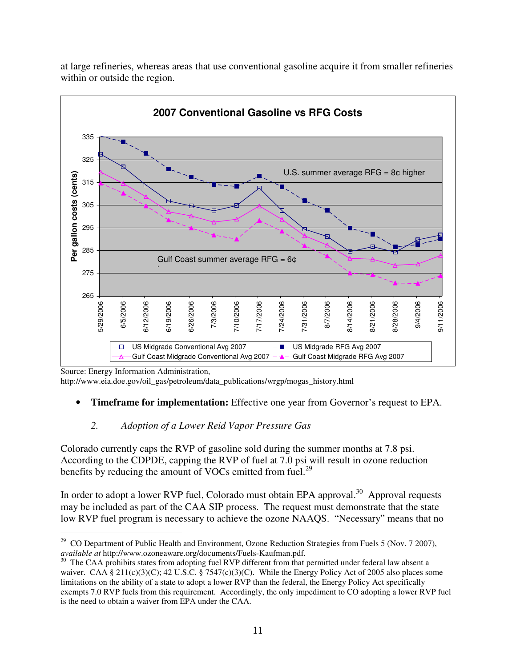

at large refineries, whereas areas that use conventional gasoline acquire it from smaller refineries within or outside the region.

http://www.eia.doe.gov/oil\_gas/petroleum/data\_publications/wrgp/mogas\_history.html

• **Timeframe for implementation:** Effective one year from Governor's request to EPA.

#### *2. Adoption of a Lower Reid Vapor Pressure Gas*

Colorado currently caps the RVP of gasoline sold during the summer months at 7.8 psi. According to the CDPDE, capping the RVP of fuel at 7.0 psi will result in ozone reduction benefits by reducing the amount of VOCs emitted from fuel.<sup>29</sup>

In order to adopt a lower RVP fuel, Colorado must obtain EPA approval.<sup>30</sup> Approval requests may be included as part of the CAA SIP process. The request must demonstrate that the state low RVP fuel program is necessary to achieve the ozone NAAQS. "Necessary" means that no

Source: Energy Information Administration,

<sup>-</sup><sup>29</sup> CO Department of Public Health and Environment, Ozone Reduction Strategies from Fuels 5 (Nov. 7 2007), *available at* http://www.ozoneaware.org/documents/Fuels-Kaufman.pdf.

<sup>&</sup>lt;sup>30</sup> The CAA prohibits states from adopting fuel RVP different from that permitted under federal law absent a waiver. CAA § 211(c)(3)(C); 42 U.S.C. § 7547(c)(3)(C). While the Energy Policy Act of 2005 also places some limitations on the ability of a state to adopt a lower RVP than the federal, the Energy Policy Act specifically exempts 7.0 RVP fuels from this requirement. Accordingly, the only impediment to CO adopting a lower RVP fuel is the need to obtain a waiver from EPA under the CAA.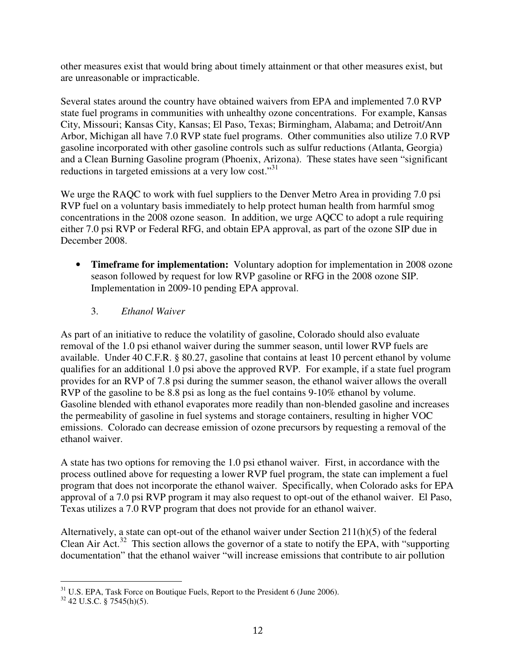other measures exist that would bring about timely attainment or that other measures exist, but are unreasonable or impracticable.

Several states around the country have obtained waivers from EPA and implemented 7.0 RVP state fuel programs in communities with unhealthy ozone concentrations. For example, Kansas City, Missouri; Kansas City, Kansas; El Paso, Texas; Birmingham, Alabama; and Detroit/Ann Arbor, Michigan all have 7.0 RVP state fuel programs. Other communities also utilize 7.0 RVP gasoline incorporated with other gasoline controls such as sulfur reductions (Atlanta, Georgia) and a Clean Burning Gasoline program (Phoenix, Arizona). These states have seen "significant reductions in targeted emissions at a very low cost."<sup>31</sup>

We urge the RAQC to work with fuel suppliers to the Denver Metro Area in providing 7.0 psi RVP fuel on a voluntary basis immediately to help protect human health from harmful smog concentrations in the 2008 ozone season. In addition, we urge AQCC to adopt a rule requiring either 7.0 psi RVP or Federal RFG, and obtain EPA approval, as part of the ozone SIP due in December 2008.

- **Timeframe for implementation:** Voluntary adoption for implementation in 2008 ozone season followed by request for low RVP gasoline or RFG in the 2008 ozone SIP. Implementation in 2009-10 pending EPA approval.
	- 3. *Ethanol Waiver*

As part of an initiative to reduce the volatility of gasoline, Colorado should also evaluate removal of the 1.0 psi ethanol waiver during the summer season, until lower RVP fuels are available. Under 40 C.F.R. § 80.27, gasoline that contains at least 10 percent ethanol by volume qualifies for an additional 1.0 psi above the approved RVP. For example, if a state fuel program provides for an RVP of 7.8 psi during the summer season, the ethanol waiver allows the overall RVP of the gasoline to be 8.8 psi as long as the fuel contains 9-10% ethanol by volume. Gasoline blended with ethanol evaporates more readily than non-blended gasoline and increases the permeability of gasoline in fuel systems and storage containers, resulting in higher VOC emissions. Colorado can decrease emission of ozone precursors by requesting a removal of the ethanol waiver.

A state has two options for removing the 1.0 psi ethanol waiver. First, in accordance with the process outlined above for requesting a lower RVP fuel program, the state can implement a fuel program that does not incorporate the ethanol waiver. Specifically, when Colorado asks for EPA approval of a 7.0 psi RVP program it may also request to opt-out of the ethanol waiver. El Paso, Texas utilizes a 7.0 RVP program that does not provide for an ethanol waiver.

Alternatively, a state can opt-out of the ethanol waiver under Section 211(h)(5) of the federal Clean Air Act.<sup>32</sup> This section allows the governor of a state to notify the EPA, with "supporting documentation" that the ethanol waiver "will increase emissions that contribute to air pollution

<sup>-</sup> $31$  U.S. EPA, Task Force on Boutique Fuels, Report to the President 6 (June 2006).

 $32$  42 U.S.C. § 7545(h)(5).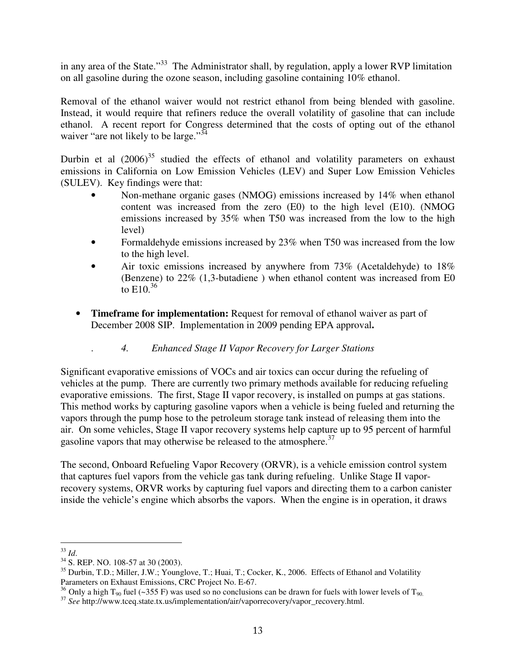in any area of the State."<sup>33</sup> The Administrator shall, by regulation, apply a lower RVP limitation on all gasoline during the ozone season, including gasoline containing 10% ethanol.

Removal of the ethanol waiver would not restrict ethanol from being blended with gasoline. Instead, it would require that refiners reduce the overall volatility of gasoline that can include ethanol. A recent report for Congress determined that the costs of opting out of the ethanol waiver "are not likely to be large."<sup>34</sup>

Durbin et al  $(2006)^{35}$  studied the effects of ethanol and volatility parameters on exhaust emissions in California on Low Emission Vehicles (LEV) and Super Low Emission Vehicles (SULEV). Key findings were that:

- Non-methane organic gases (NMOG) emissions increased by 14% when ethanol content was increased from the zero (E0) to the high level (E10). (NMOG emissions increased by 35% when T50 was increased from the low to the high level)
- Formaldehyde emissions increased by 23% when T50 was increased from the low to the high level.
- Air toxic emissions increased by anywhere from 73% (Acetaldehyde) to 18% (Benzene) to 22% (1,3-butadiene ) when ethanol content was increased from E0 to  $E10^{36}$
- **Timeframe for implementation:** Request for removal of ethanol waiver as part of December 2008 SIP. Implementation in 2009 pending EPA approval**.**
	- . *4. Enhanced Stage II Vapor Recovery for Larger Stations*

Significant evaporative emissions of VOCs and air toxics can occur during the refueling of vehicles at the pump. There are currently two primary methods available for reducing refueling evaporative emissions. The first, Stage II vapor recovery, is installed on pumps at gas stations. This method works by capturing gasoline vapors when a vehicle is being fueled and returning the vapors through the pump hose to the petroleum storage tank instead of releasing them into the air. On some vehicles, Stage II vapor recovery systems help capture up to 95 percent of harmful gasoline vapors that may otherwise be released to the atmosphere.<sup>37</sup>

The second, Onboard Refueling Vapor Recovery (ORVR), is a vehicle emission control system that captures fuel vapors from the vehicle gas tank during refueling. Unlike Stage II vaporrecovery systems, ORVR works by capturing fuel vapors and directing them to a carbon canister inside the vehicle's engine which absorbs the vapors. When the engine is in operation, it draws

 33 *Id*.

<sup>34</sup> S. REP. NO. 108-57 at 30 (2003).

<sup>&</sup>lt;sup>35</sup> Durbin, T.D.; Miller, J.W.; Younglove, T.; Huai, T.; Cocker, K., 2006. Effects of Ethanol and Volatility Parameters on Exhaust Emissions, CRC Project No. E-67.

<sup>&</sup>lt;sup>36</sup> Only a high T<sub>90</sub> fuel (~355 F) was used so no conclusions can be drawn for fuels with lower levels of T<sub>90</sub>.

<sup>37</sup> *See* http://www.tceq.state.tx.us/implementation/air/vaporrecovery/vapor\_recovery.html.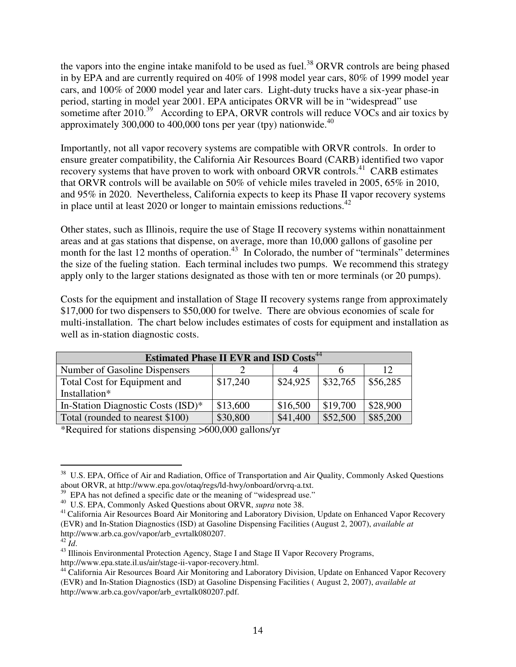the vapors into the engine intake manifold to be used as fuel.<sup>38</sup> ORVR controls are being phased in by EPA and are currently required on 40% of 1998 model year cars, 80% of 1999 model year cars, and 100% of 2000 model year and later cars. Light-duty trucks have a six-year phase-in period, starting in model year 2001. EPA anticipates ORVR will be in "widespread" use sometime after 2010.<sup>39</sup> According to EPA, ORVR controls will reduce VOCs and air toxics by approximately 300,000 to 400,000 tons per year (tpy) nationwide.<sup>40</sup>

Importantly, not all vapor recovery systems are compatible with ORVR controls. In order to ensure greater compatibility, the California Air Resources Board (CARB) identified two vapor recovery systems that have proven to work with onboard ORVR controls.<sup>41</sup> CARB estimates that ORVR controls will be available on 50% of vehicle miles traveled in 2005, 65% in 2010, and 95% in 2020. Nevertheless, California expects to keep its Phase II vapor recovery systems in place until at least 2020 or longer to maintain emissions reductions.<sup>42</sup>

Other states, such as Illinois, require the use of Stage II recovery systems within nonattainment areas and at gas stations that dispense, on average, more than 10,000 gallons of gasoline per month for the last 12 months of operation.<sup>43</sup> In Colorado, the number of "terminals" determines the size of the fueling station. Each terminal includes two pumps. We recommend this strategy apply only to the larger stations designated as those with ten or more terminals (or 20 pumps).

Costs for the equipment and installation of Stage II recovery systems range from approximately \$17,000 for two dispensers to \$50,000 for twelve. There are obvious economies of scale for multi-installation. The chart below includes estimates of costs for equipment and installation as well as in-station diagnostic costs.

| <b>Estimated Phase II EVR and ISD Costs<sup>44</sup></b> |                      |          |          |          |  |  |
|----------------------------------------------------------|----------------------|----------|----------|----------|--|--|
| Number of Gasoline Dispensers                            |                      |          |          | 12       |  |  |
| Total Cost for Equipment and                             | \$24,925<br>\$17,240 |          | \$32,765 | \$56,285 |  |  |
| Installation*                                            |                      |          |          |          |  |  |
| In-Station Diagnostic Costs (ISD)*                       | \$13,600             | \$16,500 | \$19,700 | \$28,900 |  |  |
| Total (rounded to nearest \$100)                         | \$30,800             | \$41,400 | \$52,500 | \$85,200 |  |  |

\*Required for stations dispensing >600,000 gallons/yr

<sup>39</sup> EPA has not defined a specific date or the meaning of "widespread use."

-

<sup>&</sup>lt;sup>38</sup> U.S. EPA, Office of Air and Radiation, Office of Transportation and Air Quality, Commonly Asked Questions about ORVR, at http://www.epa.gov/otaq/regs/ld-hwy/onboard/orvrq-a.txt.

<sup>40</sup> U.S. EPA, Commonly Asked Questions about ORVR, *supra* note 38.

<sup>&</sup>lt;sup>41</sup> California Air Resources Board Air Monitoring and Laboratory Division, Update on Enhanced Vapor Recovery (EVR) and In-Station Diagnostics (ISD) at Gasoline Dispensing Facilities (August 2, 2007), *available at* http://www.arb.ca.gov/vapor/arb\_evrtalk080207.

<sup>42</sup> *Id*.

<sup>&</sup>lt;sup>43</sup> Illinois Environmental Protection Agency, Stage I and Stage II Vapor Recovery Programs, http://www.epa.state.il.us/air/stage-ii-vapor-recovery.html.

<sup>&</sup>lt;sup>44</sup> California Air Resources Board Air Monitoring and Laboratory Division, Update on Enhanced Vapor Recovery (EVR) and In-Station Diagnostics (ISD) at Gasoline Dispensing Facilities ( August 2, 2007), *available at* http://www.arb.ca.gov/vapor/arb\_evrtalk080207.pdf.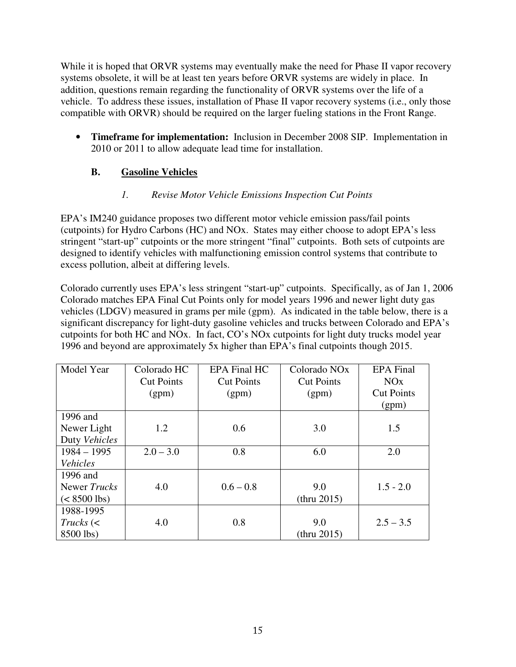While it is hoped that ORVR systems may eventually make the need for Phase II vapor recovery systems obsolete, it will be at least ten years before ORVR systems are widely in place. In addition, questions remain regarding the functionality of ORVR systems over the life of a vehicle. To address these issues, installation of Phase II vapor recovery systems (i.e., only those compatible with ORVR) should be required on the larger fueling stations in the Front Range.

• **Timeframe for implementation:** Inclusion in December 2008 SIP. Implementation in 2010 or 2011 to allow adequate lead time for installation.

# **B. Gasoline Vehicles**

### *1. Revise Motor Vehicle Emissions Inspection Cut Points*

EPA's IM240 guidance proposes two different motor vehicle emission pass/fail points (cutpoints) for Hydro Carbons (HC) and NOx. States may either choose to adopt EPA's less stringent "start-up" cutpoints or the more stringent "final" cutpoints. Both sets of cutpoints are designed to identify vehicles with malfunctioning emission control systems that contribute to excess pollution, albeit at differing levels.

Colorado currently uses EPA's less stringent "start-up" cutpoints. Specifically, as of Jan 1, 2006 Colorado matches EPA Final Cut Points only for model years 1996 and newer light duty gas vehicles (LDGV) measured in grams per mile (gpm). As indicated in the table below, there is a significant discrepancy for light-duty gasoline vehicles and trucks between Colorado and EPA's cutpoints for both HC and NOx. In fact, CO's NOx cutpoints for light duty trucks model year 1996 and beyond are approximately 5x higher than EPA's final cutpoints though 2015.

| Model Year     | Colorado HC       | <b>EPA Final HC</b> | Colorado NO <sub>x</sub> | <b>EPA</b> Final  |
|----------------|-------------------|---------------------|--------------------------|-------------------|
|                | <b>Cut Points</b> | <b>Cut Points</b>   | <b>Cut Points</b>        | NOx               |
|                | (gpm)             | (gpm)               | (gpm)                    | <b>Cut Points</b> |
|                |                   |                     |                          | (gpm)             |
| 1996 and       |                   |                     |                          |                   |
| Newer Light    | 1.2               | 0.6                 | 3.0                      | 1.5               |
| Duty Vehicles  |                   |                     |                          |                   |
| $1984 - 1995$  | $2.0 - 3.0$       | 0.8                 | 6.0                      | 2.0               |
| Vehicles       |                   |                     |                          |                   |
| 1996 and       |                   |                     |                          |                   |
| Newer Trucks   | 4.0               | $0.6 - 0.8$         | 9.0                      | $1.5 - 2.0$       |
| $(< 8500$ lbs) |                   |                     | (thru 2015)              |                   |
| 1988-1995      |                   |                     |                          |                   |
| $Trucks$ (<    | 4.0               | 0.8                 | 9.0                      | $2.5 - 3.5$       |
| 8500 lbs)      |                   |                     | (thru 2015)              |                   |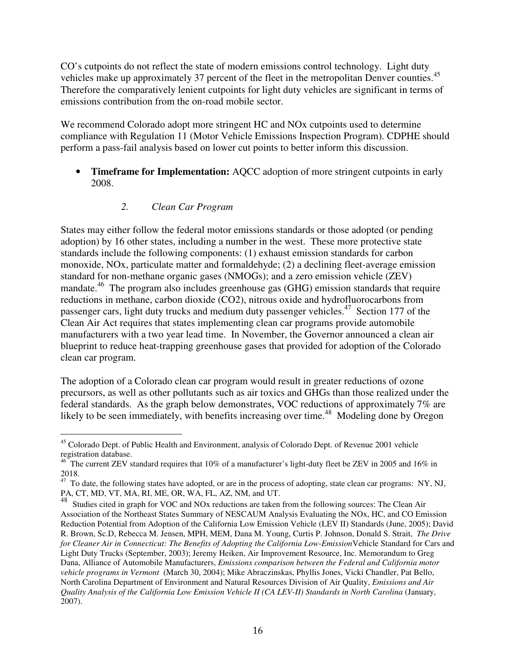CO's cutpoints do not reflect the state of modern emissions control technology. Light duty vehicles make up approximately 37 percent of the fleet in the metropolitan Denver counties.<sup>45</sup> Therefore the comparatively lenient cutpoints for light duty vehicles are significant in terms of emissions contribution from the on-road mobile sector.

We recommend Colorado adopt more stringent HC and NO<sub>x</sub> cutpoints used to determine compliance with Regulation 11 (Motor Vehicle Emissions Inspection Program). CDPHE should perform a pass-fail analysis based on lower cut points to better inform this discussion.

• **Timeframe for Implementation:** AQCC adoption of more stringent cutpoints in early 2008.

#### *2. Clean Car Program*

States may either follow the federal motor emissions standards or those adopted (or pending adoption) by 16 other states, including a number in the west. These more protective state standards include the following components: (1) exhaust emission standards for carbon monoxide, NOx, particulate matter and formaldehyde; (2) a declining fleet-average emission standard for non-methane organic gases (NMOGs); and a zero emission vehicle (ZEV) mandate.<sup>46</sup> The program also includes greenhouse gas (GHG) emission standards that require reductions in methane, carbon dioxide (CO2), nitrous oxide and hydrofluorocarbons from passenger cars, light duty trucks and medium duty passenger vehicles.<sup>47</sup> Section 177 of the Clean Air Act requires that states implementing clean car programs provide automobile manufacturers with a two year lead time. In November, the Governor announced a clean air blueprint to reduce heat-trapping greenhouse gases that provided for adoption of the Colorado clean car program.

The adoption of a Colorado clean car program would result in greater reductions of ozone precursors, as well as other pollutants such as air toxics and GHGs than those realized under the federal standards. As the graph below demonstrates, VOC reductions of approximately 7% are likely to be seen immediately, with benefits increasing over time.<sup>48</sup> Modeling done by Oregon

<sup>-</sup><sup>45</sup> Colorado Dept. of Public Health and Environment, analysis of Colorado Dept. of Revenue 2001 vehicle registration database.

 $^{46}$  The current ZEV standard requires that 10% of a manufacturer's light-duty fleet be ZEV in 2005 and 16% in 2018.

 $47$  To date, the following states have adopted, or are in the process of adopting, state clean car programs: NY, NJ, PA, CT, MD, VT, MA, RI, ME, OR, WA, FL, AZ, NM, and UT.

<sup>&</sup>lt;sup>48</sup> Studies cited in graph for VOC and NOx reductions are taken from the following sources: The Clean Air Association of the Northeast States Summary of NESCAUM Analysis Evaluating the NOx, HC, and CO Emission Reduction Potential from Adoption of the California Low Emission Vehicle (LEV II) Standards (June, 2005); David R. Brown, Sc.D, Rebecca M. Jensen, MPH, MEM, Dana M. Young, Curtis P. Johnson, Donald S. Strait, *The Drive for Cleaner Air in Connecticut: The Benefits of Adopting the California Low-Emission*Vehicle Standard for Cars and Light Duty Trucks (September, 2003); Jeremy Heiken, Air Improvement Resource, Inc. Memorandum to Greg Dana, Alliance of Automobile Manufacturers, *Emissions comparison between the Federal and California motor vehicle programs in Vermont* (March 30, 2004); Mike Abraczinskas, Phyllis Jones, Vicki Chandler, Pat Bello, North Carolina Department of Environment and Natural Resources Division of Air Quality, *Emissions and Air Quality Analysis of the California Low Emission Vehicle II (CA LEV-II) Standards in North Carolina* (January, 2007).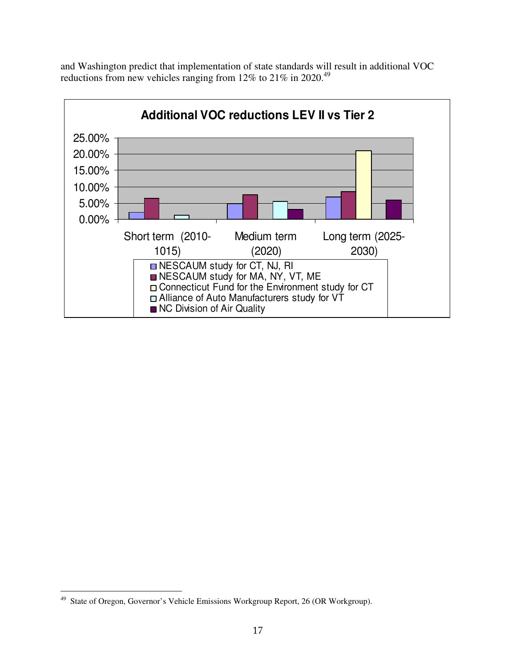and Washington predict that implementation of state standards will result in additional VOC reductions from new vehicles ranging from 12% to 21% in 2020.<sup>49</sup>



 $\frac{1}{49}$ State of Oregon, Governor's Vehicle Emissions Workgroup Report, 26 (OR Workgroup).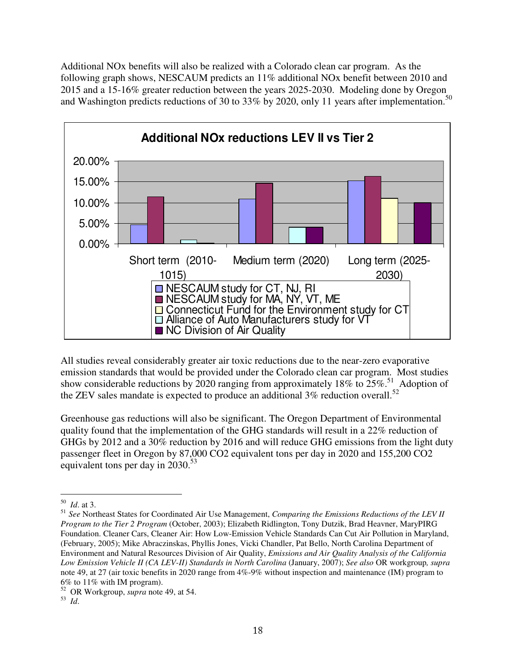Additional NOx benefits will also be realized with a Colorado clean car program. As the following graph shows, NESCAUM predicts an 11% additional NOx benefit between 2010 and 2015 and a 15-16% greater reduction between the years 2025-2030. Modeling done by Oregon and Washington predicts reductions of 30 to 33% by 2020, only 11 years after implementation.<sup>50</sup>



All studies reveal considerably greater air toxic reductions due to the near-zero evaporative emission standards that would be provided under the Colorado clean car program. Most studies show considerable reductions by 2020 ranging from approximately 18% to 25%.<sup>51</sup> Adoption of the ZEV sales mandate is expected to produce an additional 3% reduction overall.<sup>52</sup>

Greenhouse gas reductions will also be significant. The Oregon Department of Environmental quality found that the implementation of the GHG standards will result in a 22% reduction of GHGs by 2012 and a 30% reduction by 2016 and will reduce GHG emissions from the light duty passenger fleet in Oregon by 87,000 CO2 equivalent tons per day in 2020 and 155,200 CO2 equivalent tons per day in 2030.<sup>53</sup>

 50 *Id*. at 3.

<sup>51</sup> *See* Northeast States for Coordinated Air Use Management, *Comparing the Emissions Reductions of the LEV II Program to the Tier 2 Program* (October, 2003); Elizabeth Ridlington, Tony Dutzik, Brad Heavner, MaryPIRG Foundation. Cleaner Cars, Cleaner Air: How Low-Emission Vehicle Standards Can Cut Air Pollution in Maryland, (February, 2005); Mike Abraczinskas, Phyllis Jones, Vicki Chandler, Pat Bello, North Carolina Department of Environment and Natural Resources Division of Air Quality, *Emissions and Air Quality Analysis of the California Low Emission Vehicle II (CA LEV-II) Standards in North Carolina* (January, 2007); *See also* OR workgroup*, supra* note 49, at 27 (air toxic benefits in 2020 range from 4%-9% without inspection and maintenance (IM) program to 6% to 11% with IM program).

<sup>52</sup> OR Workgroup, *supra* note 49, at 54.

<sup>53</sup> *Id*.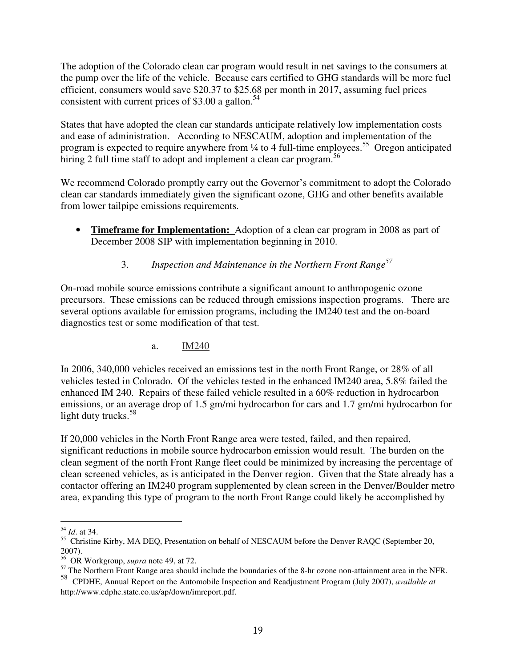The adoption of the Colorado clean car program would result in net savings to the consumers at the pump over the life of the vehicle. Because cars certified to GHG standards will be more fuel efficient, consumers would save \$20.37 to \$25.68 per month in 2017, assuming fuel prices consistent with current prices of \$3.00 a gallon.<sup>54</sup>

States that have adopted the clean car standards anticipate relatively low implementation costs and ease of administration. According to NESCAUM, adoption and implementation of the program is expected to require anywhere from 1/4 to 4 full-time employees.<sup>55</sup> Oregon anticipated hiring 2 full time staff to adopt and implement a clean car program.<sup>56</sup>

We recommend Colorado promptly carry out the Governor's commitment to adopt the Colorado clean car standards immediately given the significant ozone, GHG and other benefits available from lower tailpipe emissions requirements.

**Timeframe for Implementation:** Adoption of a clean car program in 2008 as part of December 2008 SIP with implementation beginning in 2010.

# 3. *Inspection and Maintenance in the Northern Front Range 57*

On-road mobile source emissions contribute a significant amount to anthropogenic ozone precursors. These emissions can be reduced through emissions inspection programs. There are several options available for emission programs, including the IM240 test and the on-board diagnostics test or some modification of that test.

### a. IM240

In 2006, 340,000 vehicles received an emissions test in the north Front Range, or 28% of all vehicles tested in Colorado. Of the vehicles tested in the enhanced IM240 area, 5.8% failed the enhanced IM 240. Repairs of these failed vehicle resulted in a 60% reduction in hydrocarbon emissions, or an average drop of 1.5 gm/mi hydrocarbon for cars and 1.7 gm/mi hydrocarbon for light duty trucks. 58

If 20,000 vehicles in the North Front Range area were tested, failed, and then repaired, significant reductions in mobile source hydrocarbon emission would result. The burden on the clean segment of the north Front Range fleet could be minimized by increasing the percentage of clean screened vehicles, as is anticipated in the Denver region. Given that the State already has a contactor offering an IM240 program supplemented by clean screen in the Denver/Boulder metro area, expanding this type of program to the north Front Range could likely be accomplished by

 54 *Id*. at 34.

<sup>&</sup>lt;sup>55</sup> Christine Kirby, MA DEQ, Presentation on behalf of NESCAUM before the Denver RAQC (September 20, 2007).

<sup>56</sup> OR Workgroup, *supra* note 49, at 72.

<sup>&</sup>lt;sup>57</sup> The Northern Front Range area should include the boundaries of the 8-hr ozone non-attainment area in the NFR.

<sup>58</sup> CPDHE, Annual Report on the Automobile Inspection and Readjustment Program (July 2007), *available at* http://www.cdphe.state.co.us/ap/down/imreport.pdf.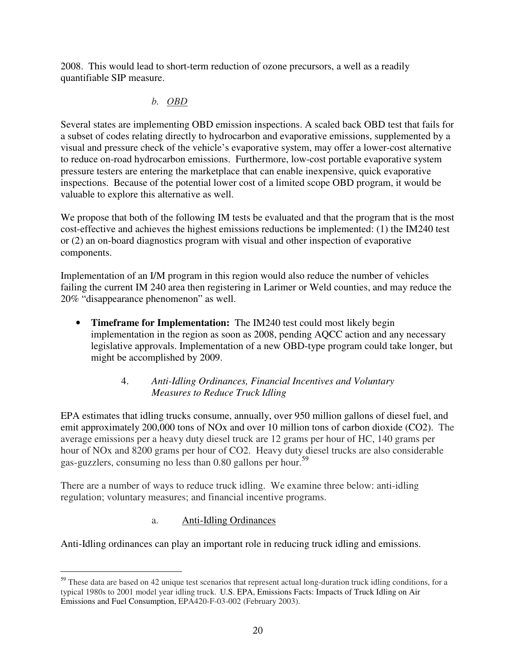2008. This would lead to short-term reduction of ozone precursors, a well as a readily quantifiable SIP measure.

#### *b. OBD*

Several states are implementing OBD emission inspections. A scaled back OBD test that fails for a subset of codes relating directly to hydrocarbon and evaporative emissions, supplemented by a visual and pressure check of the vehicle's evaporative system, may offer a lower-cost alternative to reduce on-road hydrocarbon emissions. Furthermore, low-cost portable evaporative system pressure testers are entering the marketplace that can enable inexpensive, quick evaporative inspections. Because of the potential lower cost of a limited scope OBD program, it would be valuable to explore this alternative as well.

We propose that both of the following IM tests be evaluated and that the program that is the most cost-effective and achieves the highest emissions reductions be implemented: (1) the IM240 test or (2) an on-board diagnostics program with visual and other inspection of evaporative components.

Implementation of an I/M program in this region would also reduce the number of vehicles failing the current IM 240 area then registering in Larimer or Weld counties, and may reduce the 20% "disappearance phenomenon" as well.

• **Timeframe for Implementation:** The IM240 test could most likely begin implementation in the region as soon as 2008, pending AQCC action and any necessary legislative approvals. Implementation of a new OBD-type program could take longer, but might be accomplished by 2009.

#### 4. *Anti-Idling Ordinances, Financial Incentives and Voluntary Measures to Reduce Truck Idling*

EPA estimates that idling trucks consume, annually, over 950 million gallons of diesel fuel, and emit approximately 200,000 tons of NOx and over 10 million tons of carbon dioxide (CO2). The average emissions per a heavy duty diesel truck are 12 grams per hour of HC, 140 grams per hour of NOx and 8200 grams per hour of CO2. Heavy duty diesel trucks are also considerable gas-guzzlers, consuming no less than 0.80 gallons per hour.<sup>59</sup>

There are a number of ways to reduce truck idling. We examine three below: anti-idling regulation; voluntary measures; and financial incentive programs.

### a. Anti-Idling Ordinances

Anti-Idling ordinances can play an important role in reducing truck idling and emissions.

<sup>-</sup><sup>59</sup> These data are based on 42 unique test scenarios that represent actual long-duration truck idling conditions, for a typical 1980s to 2001 model year idling truck. U.S. EPA, Emissions Facts: Impacts of Truck Idling on Air Emissions and Fuel Consumption, EPA420-F-03-002 (February 2003).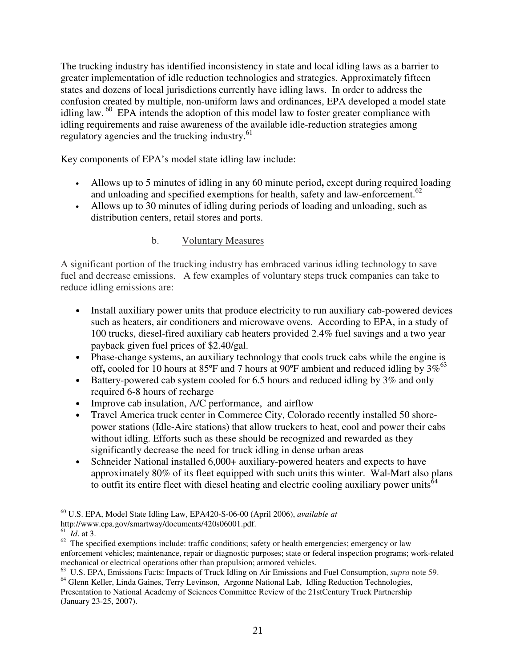The trucking industry has identified inconsistency in state and local idling laws as a barrier to greater implementation of idle reduction technologies and strategies. Approximately fifteen states and dozens of local jurisdictions currently have idling laws. In order to address the confusion created by multiple, non-uniform laws and ordinances, EPA developed a model state idling law. <sup>60</sup> EPA intends the adoption of this model law to foster greater compliance with idling requirements and raise awareness of the available idle-reduction strategies among regulatory agencies and the trucking industry.<sup>61</sup>

Key components of EPA's model state idling law include:

- Allows up to 5 minutes of idling in any 60 minute period**,** except during required loading and unloading and specified exemptions for health, safety and law-enforcement. 62
- Allows up to 30 minutes of idling during periods of loading and unloading, such as distribution centers, retail stores and ports.
	- b. Voluntary Measures

A significant portion of the trucking industry has embraced various idling technology to save fuel and decrease emissions. A few examples of voluntary steps truck companies can take to reduce idling emissions are:

- Install auxiliary power units that produce electricity to run auxiliary cab-powered devices such as heaters, air conditioners and microwave ovens. According to EPA, in a study of 100 trucks, diesel-fired auxiliary cab heaters provided 2.4% fuel savings and a two year payback given fuel prices of \$2.40/gal.
- Phase-change systems, an auxiliary technology that cools truck cabs while the engine is off, cooled for 10 hours at 85°F and 7 hours at 90°F ambient and reduced idling by 3%<sup>63</sup>
- Battery-powered cab system cooled for 6.5 hours and reduced idling by 3% and only required 6-8 hours of recharge
- Improve cab insulation, A/C performance, and airflow
- Travel America truck center in Commerce City, Colorado recently installed 50 shorepower stations (Idle-Aire stations) that allow truckers to heat, cool and power their cabs without idling. Efforts such as these should be recognized and rewarded as they significantly decrease the need for truck idling in dense urban areas
- Schneider National installed 6,000+ auxiliary-powered heaters and expects to have approximately 80% of its fleet equipped with such units this winter. Wal-Mart also plans to outfit its entire fleet with diesel heating and electric cooling auxiliary power units<sup>64</sup>

61 *Id*. at 3.

<sup>-</sup><sup>60</sup> U.S. EPA, Model State Idling Law, EPA420-S-06-00 (April 2006), *available at* http://www.epa.gov/smartway/documents/420s06001.pdf.

 $62$  The specified exemptions include: traffic conditions; safety or health emergencies; emergency or law enforcement vehicles; maintenance, repair or diagnostic purposes; state or federal inspection programs; work-related mechanical or electrical operations other than propulsion; armored vehicles.

<sup>63</sup> U.S. EPA, Emissions Facts: Impacts of Truck Idling on Air Emissions and Fuel Consumption, *supra* note 59.

<sup>&</sup>lt;sup>64</sup> Glenn Keller, Linda Gaines, Terry Levinson, Argonne National Lab, Idling Reduction Technologies, Presentation to National Academy of Sciences Committee Review of the 21stCentury Truck Partnership (January 23-25, 2007).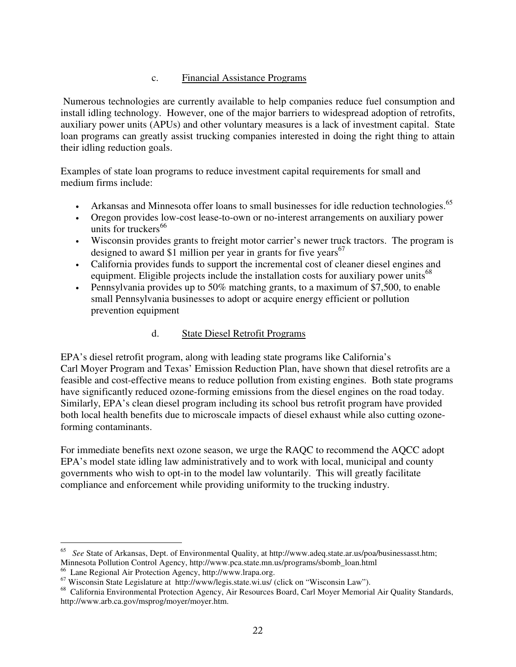#### c. Financial Assistance Programs

Numerous technologies are currently available to help companies reduce fuel consumption and install idling technology. However, one of the major barriers to widespread adoption of retrofits, auxiliary power units (APUs) and other voluntary measures is a lack of investment capital. State loan programs can greatly assist trucking companies interested in doing the right thing to attain their idling reduction goals.

Examples of state loan programs to reduce investment capital requirements for small and medium firms include:

- Arkansas and Minnesota offer loans to small businesses for idle reduction technologies.<sup>65</sup>
- Oregon provides low-cost lease-to-own or no-interest arrangements on auxiliary power units for truckers 66
- Wisconsin provides grants to freight motor carrier's newer truck tractors. The program is designed to award \$1 million per year in grants for five years<sup>67</sup>
- California provides funds to support the incremental cost of cleaner diesel engines and equipment. Eligible projects include the installation costs for auxiliary power units<sup>68</sup>
- Pennsylvania provides up to 50% matching grants, to a maximum of \$7,500, to enable small Pennsylvania businesses to adopt or acquire energy efficient or pollution prevention equipment

#### d. State Diesel Retrofit Programs

EPA's diesel retrofit program, along with leading state programs like California's Carl Moyer Program and Texas' Emission Reduction Plan, have shown that diesel retrofits are a feasible and cost-effective means to reduce pollution from existing engines. Both state programs have significantly reduced ozone-forming emissions from the diesel engines on the road today. Similarly, EPA's clean diesel program including its school bus retrofit program have provided both local health benefits due to microscale impacts of diesel exhaust while also cutting ozoneforming contaminants.

For immediate benefits next ozone season, we urge the RAQC to recommend the AQCC adopt EPA's model state idling law administratively and to work with local, municipal and county governments who wish to opt-in to the model law voluntarily. This will greatly facilitate compliance and enforcement while providing uniformity to the trucking industry.

 65 *See* State of Arkansas, Dept. of Environmental Quality, at http://www.adeq.state.ar.us/poa/businessasst.htm; Minnesota Pollution Control Agency, http://www.pca.state.mn.us/programs/sbomb\_loan.html

<sup>66</sup> Lane Regional Air Protection Agency, http://www.lrapa.org.

<sup>67</sup> Wisconsin State Legislature at http://www/legis.state.wi.us/ (click on "Wisconsin Law").

<sup>&</sup>lt;sup>68</sup> California Environmental Protection Agency, Air Resources Board, Carl Moyer Memorial Air Quality Standards, http://www.arb.ca.gov/msprog/moyer/moyer.htm.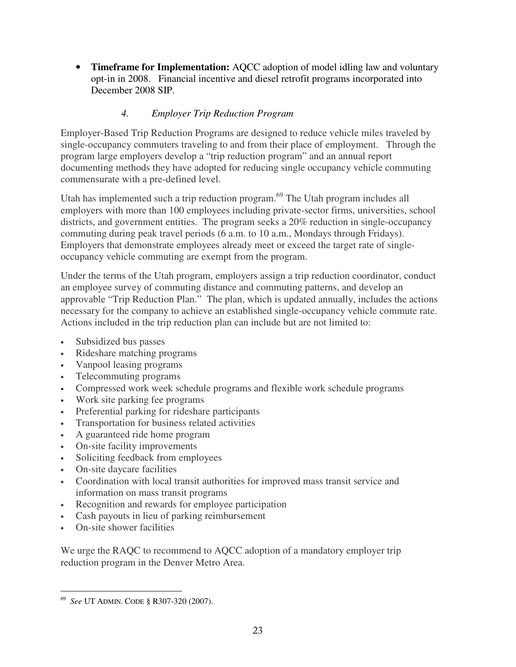• **Timeframe for Implementation:** AQCC adoption of model idling law and voluntary opt-in in 2008. Financial incentive and diesel retrofit programs incorporated into December 2008 SIP.

## *4. Employer Trip Reduction Program*

Employer-Based Trip Reduction Programs are designed to reduce vehicle miles traveled by single-occupancy commuters traveling to and from their place of employment. Through the program large employers develop a "trip reduction program" and an annual report documenting methods they have adopted for reducing single occupancy vehicle commuting commensurate with a pre-defined level.

Utah has implemented such a trip reduction program.<sup>69</sup> The Utah program includes all employers with more than 100 employees including private-sector firms, universities, school districts, and government entities. The program seeks a 20% reduction in single-occupancy commuting during peak travel periods (6 a.m. to 10 a.m., Mondays through Fridays). Employers that demonstrate employees already meet or exceed the target rate of singleoccupancy vehicle commuting are exempt from the program.

Under the terms of the Utah program, employers assign a trip reduction coordinator, conduct an employee survey of commuting distance and commuting patterns, and develop an approvable "Trip Reduction Plan." The plan, which is updated annually, includes the actions necessary for the company to achieve an established single-occupancy vehicle commute rate. Actions included in the trip reduction plan can include but are not limited to:

- Subsidized bus passes
- Rideshare matching programs
- Vanpool leasing programs
- Telecommuting programs
- Compressed work week schedule programs and flexible work schedule programs
- Work site parking fee programs
- Preferential parking for rideshare participants
- Transportation for business related activities
- A guaranteed ride home program
- On-site facility improvements
- Soliciting feedback from employees
- On-site daycare facilities
- Coordination with local transit authorities for improved mass transit service and information on mass transit programs
- Recognition and rewards for employee participation
- Cash payouts in lieu of parking reimbursement
- On-site shower facilities

-

We urge the RAQC to recommend to AQCC adoption of a mandatory employer trip reduction program in the Denver Metro Area.

<sup>69</sup> *See* UT ADMIN. CODE § R307-320 (2007).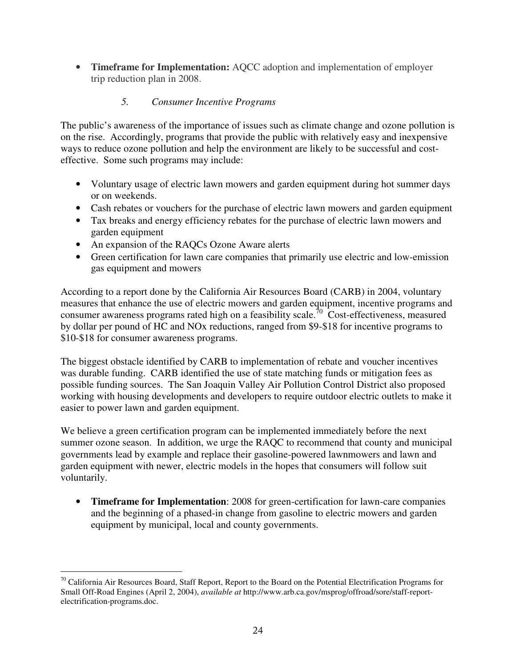• **Timeframe for Implementation:** AQCC adoption and implementation of employer trip reduction plan in 2008.

## *5. Consumer Incentive Programs*

The public's awareness of the importance of issues such as climate change and ozone pollution is on the rise. Accordingly, programs that provide the public with relatively easy and inexpensive ways to reduce ozone pollution and help the environment are likely to be successful and costeffective. Some such programs may include:

- Voluntary usage of electric lawn mowers and garden equipment during hot summer days or on weekends.
- Cash rebates or vouchers for the purchase of electric lawn mowers and garden equipment
- Tax breaks and energy efficiency rebates for the purchase of electric lawn mowers and garden equipment
- An expansion of the RAOCs Ozone Aware alerts
- Green certification for lawn care companies that primarily use electric and low-emission gas equipment and mowers

According to a report done by the California Air Resources Board (CARB) in 2004, voluntary measures that enhance the use of electric mowers and garden equipment, incentive programs and consumer awareness programs rated high on a feasibility scale.<sup>70</sup> Cost-effectiveness, measured by dollar per pound of HC and NOx reductions, ranged from \$9-\$18 for incentive programs to \$10-\$18 for consumer awareness programs.

The biggest obstacle identified by CARB to implementation of rebate and voucher incentives was durable funding. CARB identified the use of state matching funds or mitigation fees as possible funding sources. The San Joaquin Valley Air Pollution Control District also proposed working with housing developments and developers to require outdoor electric outlets to make it easier to power lawn and garden equipment.

We believe a green certification program can be implemented immediately before the next summer ozone season. In addition, we urge the RAQC to recommend that county and municipal governments lead by example and replace their gasoline-powered lawnmowers and lawn and garden equipment with newer, electric models in the hopes that consumers will follow suit voluntarily.

• **Timeframe for Implementation**: 2008 for green-certification for lawn-care companies and the beginning of a phased-in change from gasoline to electric mowers and garden equipment by municipal, local and county governments.

<sup>-</sup><sup>70</sup> California Air Resources Board, Staff Report, Report to the Board on the Potential Electrification Programs for Small Off-Road Engines (April 2, 2004), *available at* http://www.arb.ca.gov/msprog/offroad/sore/staff-reportelectrification-programs.doc.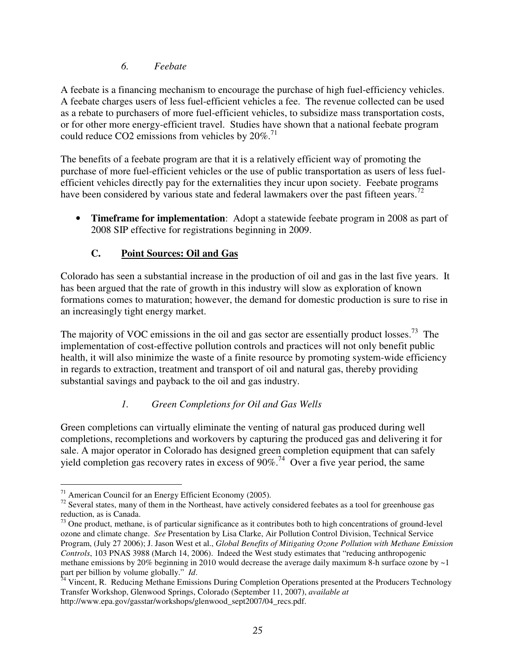#### *6. Feebate*

A feebate is a financing mechanism to encourage the purchase of high fuel-efficiency vehicles. A feebate charges users of less fuel-efficient vehicles a fee. The revenue collected can be used as a rebate to purchasers of more fuel-efficient vehicles, to subsidize mass transportation costs, or for other more energy-efficient travel. Studies have shown that a national feebate program could reduce CO2 emissions from vehicles by  $20\%$ .<sup>71</sup>

The benefits of a feebate program are that it is a relatively efficient way of promoting the purchase of more fuel-efficient vehicles or the use of public transportation as users of less fuelefficient vehicles directly pay for the externalities they incur upon society. Feebate programs have been considered by various state and federal lawmakers over the past fifteen years.<sup>72</sup>

• **Timeframe for implementation**: Adopt a statewide feebate program in 2008 as part of 2008 SIP effective for registrations beginning in 2009.

### **C. Point Sources: Oil and Gas**

Colorado has seen a substantial increase in the production of oil and gas in the last five years. It has been argued that the rate of growth in this industry will slow as exploration of known formations comes to maturation; however, the demand for domestic production is sure to rise in an increasingly tight energy market.

The majority of VOC emissions in the oil and gas sector are essentially product losses.<sup>73</sup> The implementation of cost-effective pollution controls and practices will not only benefit public health, it will also minimize the waste of a finite resource by promoting system-wide efficiency in regards to extraction, treatment and transport of oil and natural gas, thereby providing substantial savings and payback to the oil and gas industry.

### *1. Green Completions for Oil and Gas Wells*

Green completions can virtually eliminate the venting of natural gas produced during well completions, recompletions and workovers by capturing the produced gas and delivering it for sale. A major operator in Colorado has designed green completion equipment that can safely yield completion gas recovery rates in excess of  $90\%$ .<sup>74</sup> Over a five year period, the same

<sup>-</sup><sup>71</sup> American Council for an Energy Efficient Economy (2005).

 $72$  Several states, many of them in the Northeast, have actively considered feebates as a tool for greenhouse gas reduction, as is Canada.

 $73$  One product, methane, is of particular significance as it contributes both to high concentrations of ground-level ozone and climate change. *See* Presentation by Lisa Clarke, Air Pollution Control Division, Technical Service Program, (July 27 2006); J. Jason West et al., *Global Benefits of Mitigating Ozone Pollution with Methane Emission Controls*, 103 PNAS 3988 (March 14, 2006). Indeed the West study estimates that "reducing anthropogenic methane emissions by 20% beginning in 2010 would decrease the average daily maximum 8-h surface ozone by  $\sim$ 1 part per billion by volume globally." *Id*.

<sup>&</sup>lt;sup>74</sup> Vincent, R. Reducing Methane Emissions During Completion Operations presented at the Producers Technology Transfer Workshop, Glenwood Springs, Colorado (September 11, 2007), *available at* http://www.epa.gov/gasstar/workshops/glenwood\_sept2007/04\_recs.pdf.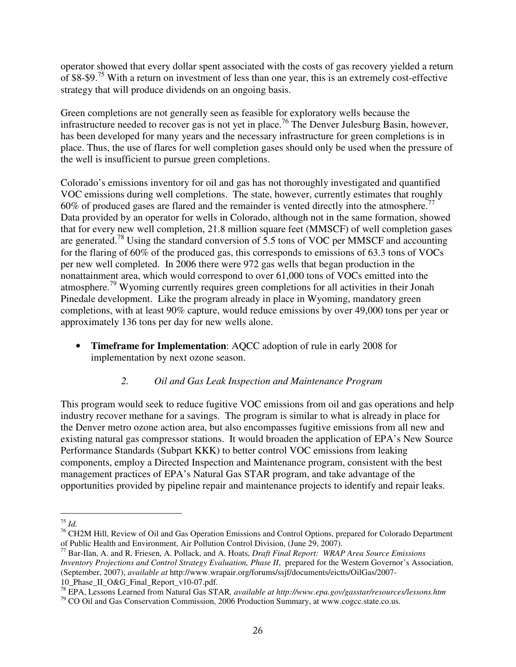operator showed that every dollar spent associated with the costs of gas recovery yielded a return of \$8-\$9.<sup>75</sup> With a return on investment of less than one year, this is an extremely cost-effective strategy that will produce dividends on an ongoing basis.

Green completions are not generally seen as feasible for exploratory wells because the infrastructure needed to recover gas is not yet in place.<sup>76</sup> The Denver Julesburg Basin, however, has been developed for many years and the necessary infrastructure for green completions is in place. Thus, the use of flares for well completion gases should only be used when the pressure of the well is insufficient to pursue green completions.

Colorado's emissions inventory for oil and gas has not thoroughly investigated and quantified VOC emissions during well completions. The state, however, currently estimates that roughly 60% of produced gases are flared and the remainder is vented directly into the atmosphere.<sup>77</sup> Data provided by an operator for wells in Colorado, although not in the same formation, showed that for every new well completion, 21.8 million square feet (MMSCF) of well completion gases are generated.<sup>78</sup> Using the standard conversion of 5.5 tons of VOC per MMSCF and accounting for the flaring of 60% of the produced gas, this corresponds to emissions of 63.3 tons of VOCs per new well completed. In 2006 there were 972 gas wells that began production in the nonattainment area, which would correspond to over 61,000 tons of VOCs emitted into the atmosphere.<sup>79</sup> Wyoming currently requires green completions for all activities in their Jonah Pinedale development. Like the program already in place in Wyoming, mandatory green completions, with at least 90% capture, would reduce emissions by over 49,000 tons per year or approximately 136 tons per day for new wells alone.

• **Timeframe for Implementation**: AQCC adoption of rule in early 2008 for implementation by next ozone season.

#### *2. Oil and Gas Leak Inspection and Maintenance Program*

This program would seek to reduce fugitive VOC emissions from oil and gas operations and help industry recover methane for a savings. The program is similar to what is already in place for the Denver metro ozone action area, but also encompasses fugitive emissions from all new and existing natural gas compressor stations. It would broaden the application of EPA's New Source Performance Standards (Subpart KKK) to better control VOC emissions from leaking components, employ a Directed Inspection and Maintenance program, consistent with the best management practices of EPA's Natural Gas STAR program, and take advantage of the opportunities provided by pipeline repair and maintenance projects to identify and repair leaks.

 75 *Id.*

<sup>&</sup>lt;sup>76</sup> CH2M Hill, Review of Oil and Gas Operation Emissions and Control Options, prepared for Colorado Department of Public Health and Environment, Air Pollution Control Division, (June 29, 2007).

<sup>77</sup> Bar-Ilan, A. and R. Friesen, A. Pollack, and A. Hoats, *Draft Final Report: WRAP Area Source Emissions Inventory Projections and Control Strategy Evaluation, Phase II*, prepared for the Western Governor's Association, (September, 2007), *available at* http://www.wrapair.org/forums/ssjf/documents/eictts/OilGas/2007- 10\_Phase\_II\_O&G\_Final\_Report\_v10-07.pdf.

<sup>78</sup> EPA, Lessons Learned from Natural Gas STAR*, available at http://www.epa.gov/gasstar/resources/lessons.htm*

 $79$  CO Oil and Gas Conservation Commission, 2006 Production Summary, at www.cogcc.state.co.us.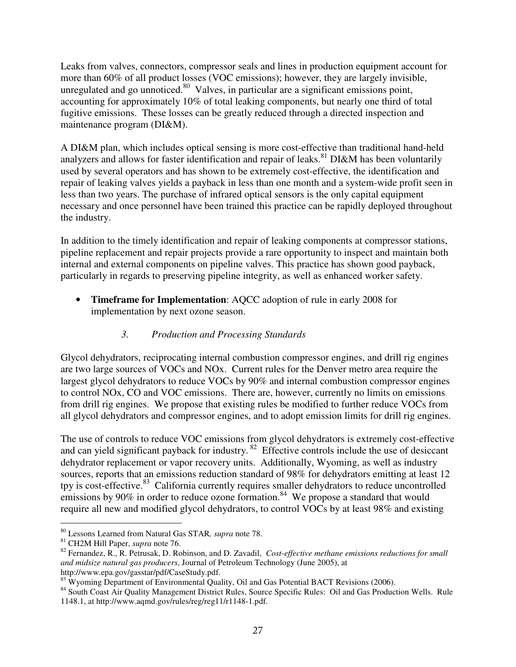Leaks from valves, connectors, compressor seals and lines in production equipment account for more than 60% of all product losses (VOC emissions); however, they are largely invisible, unregulated and go unnoticed.<sup>80</sup> Valves, in particular are a significant emissions point, accounting for approximately 10% of total leaking components, but nearly one third of total fugitive emissions. These losses can be greatly reduced through a directed inspection and maintenance program (DI&M).

A DI&M plan, which includes optical sensing is more cost-effective than traditional hand-held analyzers and allows for faster identification and repair of leaks.<sup>81</sup> DI&M has been voluntarily used by several operators and has shown to be extremely cost-effective, the identification and repair of leaking valves yields a payback in less than one month and a system-wide profit seen in less than two years. The purchase of infrared optical sensors is the only capital equipment necessary and once personnel have been trained this practice can be rapidly deployed throughout the industry.

In addition to the timely identification and repair of leaking components at compressor stations, pipeline replacement and repair projects provide a rare opportunity to inspect and maintain both internal and external components on pipeline valves. This practice has shown good payback, particularly in regards to preserving pipeline integrity, as well as enhanced worker safety.

• **Timeframe for Implementation**: AQCC adoption of rule in early 2008 for implementation by next ozone season.

### *3. Production and Processing Standards*

Glycol dehydrators, reciprocating internal combustion compressor engines, and drill rig engines are two large sources of VOCs and NOx. Current rules for the Denver metro area require the largest glycol dehydrators to reduce VOCs by 90% and internal combustion compressor engines to control NOx, CO and VOC emissions. There are, however, currently no limits on emissions from drill rig engines. We propose that existing rules be modified to further reduce VOCs from all glycol dehydrators and compressor engines, and to adopt emission limits for drill rig engines.

The use of controls to reduce VOC emissions from glycol dehydrators is extremely cost-effective and can yield significant payback for industry. <sup>82</sup> Effective controls include the use of desiccant dehydrator replacement or vapor recovery units. Additionally, Wyoming, as well as industry sources, reports that an emissions reduction standard of 98% for dehydrators emitting at least 12 tpy is cost-effective.<sup>83</sup> California currently requires smaller dehydrators to reduce uncontrolled emissions by 90% in order to reduce ozone formation.<sup>84</sup> We propose a standard that would require all new and modified glycol dehydrators, to control VOCs by at least 98% and existing

<sup>-</sup><sup>80</sup> Lessons Learned from Natural Gas STAR*, supra* note 78.

<sup>81</sup> CH2M Hill Paper, *supra* note 76.

<sup>82</sup> Fernandez, R., R. Petrusak, D. Robinson, and D. Zavadil, *Cost-effective methane emissions reductions for small and midsize natural gas producers*, Journal of Petroleum Technology (June 2005), at http://www.epa.gov/gasstar/pdf/CaseStudy.pdf.

<sup>&</sup>lt;sup>83</sup> Wyoming Department of Environmental Quality, Oil and Gas Potential BACT Revisions (2006).

<sup>&</sup>lt;sup>84</sup> South Coast Air Quality Management District Rules, Source Specific Rules: Oil and Gas Production Wells. Rule 1148.1, at http://www.aqmd.gov/rules/reg/reg11/r1148-1.pdf.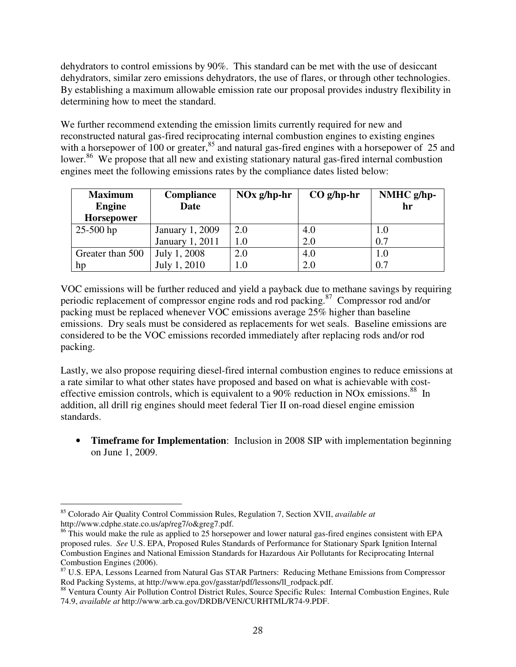dehydrators to control emissions by 90%. This standard can be met with the use of desiccant dehydrators, similar zero emissions dehydrators, the use of flares, or through other technologies. By establishing a maximum allowable emission rate our proposal provides industry flexibility in determining how to meet the standard.

We further recommend extending the emission limits currently required for new and reconstructed natural gas-fired reciprocating internal combustion engines to existing engines with a horsepower of 100 or greater,<sup>85</sup> and natural gas-fired engines with a horsepower of 25 and lower.<sup>86</sup> We propose that all new and existing stationary natural gas-fired internal combustion engines meet the following emissions rates by the compliance dates listed below:

| <b>Maximum</b><br><b>Engine</b><br><b>Horsepower</b> | <b>Compliance</b><br>Date | $NOx g/hp-hr$ | $CO g/hp-hr$ | $NMHC g/hp-$<br>hr |
|------------------------------------------------------|---------------------------|---------------|--------------|--------------------|
| $25 - 500$ hp                                        | January 1, 2009           | 2.0           | 4.0          | 1.0                |
|                                                      | January 1, 2011           | 1.0           | 2.0          | 0.7                |
| Greater than 500                                     | July 1, 2008              | 2.0           | 4.0          | 1.0                |
| hp                                                   | July 1, 2010              | $1.0\,$       | 2.0          | 0.7                |

VOC emissions will be further reduced and yield a payback due to methane savings by requiring periodic replacement of compressor engine rods and rod packing. <sup>87</sup> Compressor rod and/or packing must be replaced whenever VOC emissions average 25% higher than baseline emissions. Dry seals must be considered as replacements for wet seals. Baseline emissions are considered to be the VOC emissions recorded immediately after replacing rods and/or rod packing.

Lastly, we also propose requiring diesel-fired internal combustion engines to reduce emissions at a rate similar to what other states have proposed and based on what is achievable with costeffective emission controls, which is equivalent to a 90% reduction in NOx emissions.<sup>88</sup> In addition, all drill rig engines should meet federal Tier II on-road diesel engine emission standards.

• **Timeframe for Implementation**: Inclusion in 2008 SIP with implementation beginning on June 1, 2009.

-

<sup>85</sup> Colorado Air Quality Control Commission Rules, Regulation 7, Section XVII, *available at* http://www.cdphe.state.co.us/ap/reg7/o&greg7.pdf.

<sup>&</sup>lt;sup>86</sup> This would make the rule as applied to 25 horsepower and lower natural gas-fired engines consistent with EPA proposed rules. *See* U.S. EPA, Proposed Rules Standards of Performance for Stationary Spark Ignition Internal Combustion Engines and National Emission Standards for Hazardous Air Pollutants for Reciprocating Internal Combustion Engines (2006).

<sup>&</sup>lt;sup>87</sup> U.S. EPA, Lessons Learned from Natural Gas STAR Partners: Reducing Methane Emissions from Compressor Rod Packing Systems, at http://www.epa.gov/gasstar/pdf/lessons/ll\_rodpack.pdf.

<sup>88</sup> Ventura County Air Pollution Control District Rules, Source Specific Rules: Internal Combustion Engines, Rule 74.9, *available at* http://www.arb.ca.gov/DRDB/VEN/CURHTML/R74-9.PDF.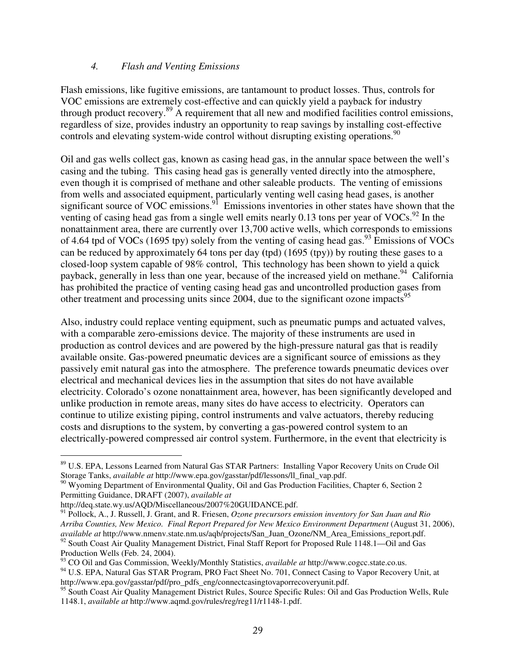#### *4. Flash and Venting Emissions*

Flash emissions, like fugitive emissions, are tantamount to product losses. Thus, controls for VOC emissions are extremely cost-effective and can quickly yield a payback for industry through product recovery.<sup>89</sup> A requirement that all new and modified facilities control emissions, regardless of size, provides industry an opportunity to reap savings by installing cost-effective controls and elevating system-wide control without disrupting existing operations.<sup>90</sup>

Oil and gas wells collect gas, known as casing head gas, in the annular space between the well's casing and the tubing. This casing head gas is generally vented directly into the atmosphere, even though it is comprised of methane and other saleable products. The venting of emissions from wells and associated equipment, particularly venting well casing head gases, is another significant source of VOC emissions.<sup>91</sup> Emissions inventories in other states have shown that the venting of casing head gas from a single well emits nearly  $0.13$  tons per year of VOCs.<sup>92</sup> In the nonattainment area, there are currently over 13,700 active wells, which corresponds to emissions of 4.64 tpd of VOCs (1695 tpy) solely from the venting of casing head gas.<sup>93</sup> Emissions of VOCs can be reduced by approximately 64 tons per day **(**tpd) (1695 (tpy)) by routing these gases to a closed-loop system capable of 98% control, This technology has been shown to yield a quick payback, generally in less than one year, because of the increased yield on methane.<sup>94</sup> California has prohibited the practice of venting casing head gas and uncontrolled production gases from other treatment and processing units since 2004, due to the significant ozone impacts 95

Also, industry could replace venting equipment, such as pneumatic pumps and actuated valves, with a comparable zero-emissions device. The majority of these instruments are used in production as control devices and are powered by the high-pressure natural gas that is readily available onsite. Gas-powered pneumatic devices are a significant source of emissions as they passively emit natural gas into the atmosphere. The preference towards pneumatic devices over electrical and mechanical devices lies in the assumption that sites do not have available electricity. Colorado's ozone nonattainment area, however, has been significantly developed and unlike production in remote areas, many sites do have access to electricity. Operators can continue to utilize existing piping, control instruments and valve actuators, thereby reducing costs and disruptions to the system, by converting a gas-powered control system to an electrically-powered compressed air control system. Furthermore, in the event that electricity is

-

<sup>93</sup> CO Oil and Gas Commission, Weekly/Monthly Statistics, *available at* http://www.cogcc.state.co.us.

<sup>89</sup> U.S. EPA, Lessons Learned from Natural Gas STAR Partners: Installing Vapor Recovery Units on Crude Oil Storage Tanks, *available at* http://www.epa.gov/gasstar/pdf/lessons/ll\_final\_vap.pdf.

<sup>&</sup>lt;sup>90</sup> Wyoming Department of Environmental Quality, Oil and Gas Production Facilities, Chapter 6, Section 2 Permitting Guidance, DRAFT (2007), *available at*

http://deq.state.wy.us/AQD/Miscellaneous/2007%20GUIDANCE.pdf.

<sup>91</sup> Pollock, A., J. Russell, J. Grant, and R. Friesen, *Ozone precursors emission inventory for San Juan and Rio Arriba Counties, New Mexico. Final Report Prepared for New Mexico Environment Department* (August 31, 2006), *available at* http://www.nmenv.state.nm.us/aqb/projects/San\_Juan\_Ozone/NM\_Area\_Emissions\_report.pdf.  $92$  South Coast Air Quality Management District, Final Staff Report for Proposed Rule 1148.1—Oil and Gas Production Wells (Feb. 24, 2004).

<sup>&</sup>lt;sup>94</sup> U.S. EPA, Natural Gas STAR Program, PRO Fact Sheet No. 701, Connect Casing to Vapor Recovery Unit, at http://www.epa.gov/gasstar/pdf/pro\_pdfs\_eng/connectcasingtovaporrecoveryunit.pdf.

<sup>&</sup>lt;sup>95</sup> South Coast Air Quality Management District Rules, Source Specific Rules: Oil and Gas Production Wells, Rule 1148.1, *available at* http://www.aqmd.gov/rules/reg/reg11/r1148-1.pdf.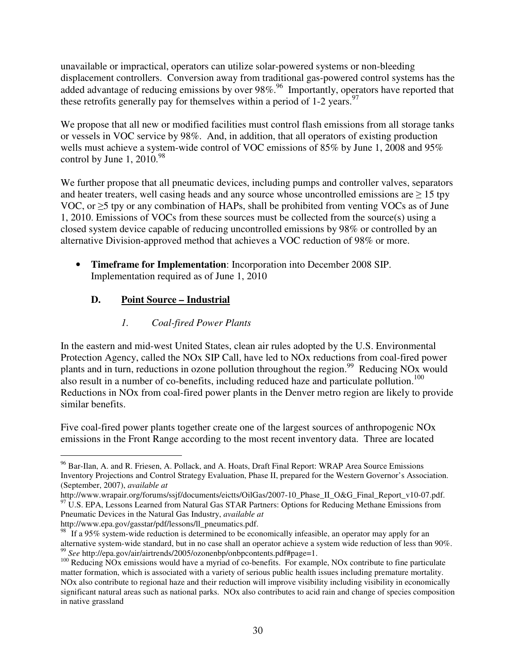unavailable or impractical, operators can utilize solar-powered systems or non-bleeding displacement controllers. Conversion away from traditional gas-powered control systems has the added advantage of reducing emissions by over 98%.<sup>96</sup> Importantly, operators have reported that these retrofits generally pay for themselves within a period of 1-2 years.<sup>97</sup>

We propose that all new or modified facilities must control flash emissions from all storage tanks or vessels in VOC service by 98%. And, in addition, that all operators of existing production wells must achieve a system-wide control of VOC emissions of 85% by June 1, 2008 and 95% control by June 1,  $2010.^{98}$ 

We further propose that all pneumatic devices, including pumps and controller valves, separators and heater treaters, well casing heads and any source whose uncontrolled emissions are  $\geq 15$  tpy VOC, or  $\geq$ 5 tpy or any combination of HAPs, shall be prohibited from venting VOCs as of June 1, 2010. Emissions of VOCs from these sources must be collected from the source(s) using a closed system device capable of reducing uncontrolled emissions by 98% or controlled by an alternative Division-approved method that achieves a VOC reduction of 98% or more.

• **Timeframe for Implementation**: Incorporation into December 2008 SIP. Implementation required as of June 1, 2010

### **D. Point Source – Industrial**

# *1. Coal-fired Power Plants*

In the eastern and mid-west United States, clean air rules adopted by the U.S. Environmental Protection Agency, called the NOx SIP Call, have led to NOx reductions from coal-fired power plants and in turn, reductions in ozone pollution throughout the region.<sup>99</sup> Reducing NO<sub>x</sub> would also result in a number of co-benefits, including reduced haze and particulate pollution.<sup>100</sup> Reductions in NOx from coal-fired power plants in the Denver metro region are likely to provide similar benefits.

Five coal-fired power plants together create one of the largest sources of anthropogenic NOx emissions in the Front Range according to the most recent inventory data. Three are located

http://www.epa.gov/gasstar/pdf/lessons/ll\_pneumatics.pdf.

<sup>-</sup><sup>96</sup> Bar-Ilan, A. and R. Friesen, A. Pollack, and A. Hoats, Draft Final Report: WRAP Area Source Emissions Inventory Projections and Control Strategy Evaluation, Phase II, prepared for the Western Governor's Association. (September, 2007), *available at*

http://www.wrapair.org/forums/ssjf/documents/eictts/OilGas/2007-10\_Phase\_II\_O&G\_Final\_Report\_v10-07.pdf.

<sup>&</sup>lt;sup>97</sup> U.S. EPA, Lessons Learned from Natural Gas STAR Partners: Options for Reducing Methane Emissions from Pneumatic Devices in the Natural Gas Industry, *available at*

<sup>&</sup>lt;sup>98</sup> If a 95% system-wide reduction is determined to be economically infeasible, an operator may apply for an alternative system-wide standard, but in no case shall an operator achieve a system wide reduction of less than 90%. 99 *See* http://epa.gov/air/airtrends/2005/ozonenbp/onbpcontents.pdf#page=1.

<sup>&</sup>lt;sup>100</sup> Reducing NO<sub>x</sub> emissions would have a myriad of co-benefits. For example, NO<sub>x</sub> contribute to fine particulate matter formation, which is associated with a variety of serious public health issues including premature mortality. NOx also contribute to regional haze and their reduction will improve visibility including visibility in economically significant natural areas such as national parks. NOx also contributes to acid rain and change of species composition in native grassland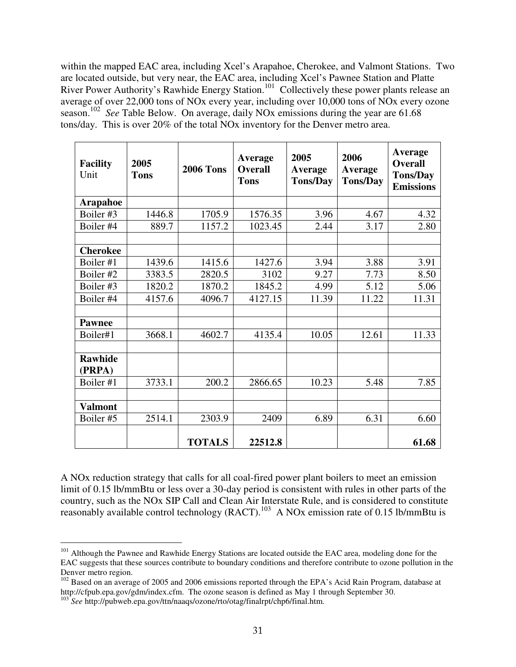within the mapped EAC area, including Xcel's Arapahoe, Cherokee, and Valmont Stations. Two are located outside, but very near, the EAC area, including Xcel's Pawnee Station and Platte River Power Authority's Rawhide Energy Station.<sup>101</sup> Collectively these power plants release an average of over 22,000 tons of NOx every year, including over 10,000 tons of NOx every ozone season.<sup>102</sup> See Table Below. On average, daily NOx emissions during the year are 61.68 tons/day. This is over 20% of the total NOx inventory for the Denver metro area.

| <b>Facility</b><br>Unit  | 2005<br><b>Tons</b> | <b>2006 Tons</b> | Average<br><b>Overall</b><br><b>Tons</b> | 2005<br>Average<br><b>Tons/Day</b> | 2006<br>Average<br><b>Tons/Day</b> | <b>Average</b><br><b>Overall</b><br><b>Tons/Day</b><br><b>Emissions</b> |
|--------------------------|---------------------|------------------|------------------------------------------|------------------------------------|------------------------------------|-------------------------------------------------------------------------|
| <b>Arapahoe</b>          |                     |                  |                                          |                                    |                                    |                                                                         |
| Boiler #3                | 1446.8              | 1705.9           | 1576.35                                  | 3.96                               | 4.67                               | 4.32                                                                    |
| Boiler #4                | 889.7               | 1157.2           | 1023.45                                  | 2.44                               | 3.17                               | 2.80                                                                    |
|                          |                     |                  |                                          |                                    |                                    |                                                                         |
| <b>Cherokee</b>          |                     |                  |                                          |                                    |                                    |                                                                         |
| Boiler #1                | 1439.6              | 1415.6           | 1427.6                                   | 3.94                               | 3.88                               | 3.91                                                                    |
| Boiler #2                | 3383.5              | 2820.5           | 3102                                     | 9.27                               | 7.73                               | 8.50                                                                    |
| Boiler #3                | 1820.2              | 1870.2           | 1845.2                                   | 4.99                               | 5.12                               | 5.06                                                                    |
| Boiler #4                | 4157.6              | 4096.7           | 4127.15                                  | 11.39                              | 11.22                              | 11.31                                                                   |
| <b>Pawnee</b>            |                     |                  |                                          |                                    |                                    |                                                                         |
| Boiler#1                 | 3668.1              | 4602.7           | 4135.4                                   | 10.05                              | 12.61                              | 11.33                                                                   |
| <b>Rawhide</b><br>(PRPA) |                     |                  |                                          |                                    |                                    |                                                                         |
| Boiler #1                | 3733.1              | 200.2            | 2866.65                                  | 10.23                              | 5.48                               | 7.85                                                                    |
| <b>Valmont</b>           |                     |                  |                                          |                                    |                                    |                                                                         |
| Boiler #5                | 2514.1              | 2303.9           | 2409                                     | 6.89                               | 6.31                               | 6.60                                                                    |
|                          |                     | <b>TOTALS</b>    | 22512.8                                  |                                    |                                    | 61.68                                                                   |

A NOx reduction strategy that calls for all coal-fired power plant boilers to meet an emission limit of 0.15 lb/mmBtu or less over a 30-day period is consistent with rules in other parts of the country, such as the NOx SIP Call and Clean Air Interstate Rule, and is considered to constitute reasonably available control technology (RACT).<sup>103</sup> A NOx emission rate of 0.15 lb/mmBtu is

-

<sup>&</sup>lt;sup>101</sup> Although the Pawnee and Rawhide Energy Stations are located outside the EAC area, modeling done for the EAC suggests that these sources contribute to boundary conditions and therefore contribute to ozone pollution in the Denver metro region.

<sup>&</sup>lt;sup>102</sup> Based on an average of 2005 and 2006 emissions reported through the EPA's Acid Rain Program, database at http://cfpub.epa.gov/gdm/index.cfm. The ozone season is defined as May 1 through September 30.

<sup>&</sup>lt;sup>103</sup> See http://pubweb.epa.gov/ttn/naaqs/ozone/rto/otag/finalrpt/chp6/final.htm.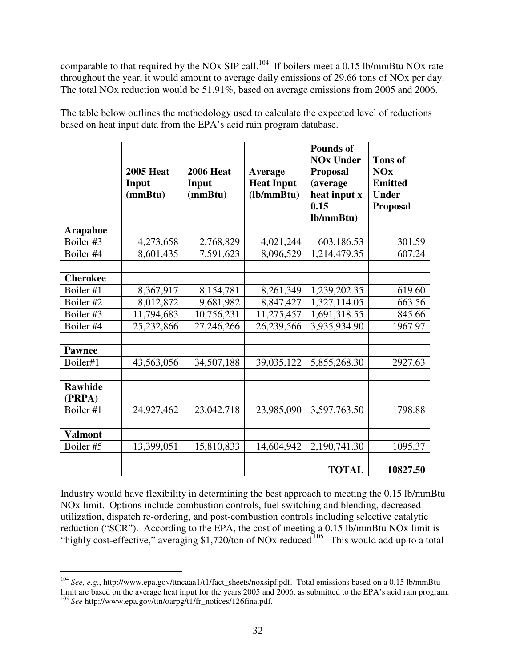comparable to that required by the NOx SIP call.<sup>104</sup> If boilers meet a 0.15 lb/mmBtu NOx rate throughout the year, it would amount to average daily emissions of 29.66 tons of NOx per day. The total NOx reduction would be 51.91%, based on average emissions from 2005 and 2006.

The table below outlines the methodology used to calculate the expected level of reductions based on heat input data from the EPA's acid rain program database.

|                          | <b>2005 Heat</b><br>Input<br>(mmBtu) | <b>2006 Heat</b><br>Input<br>(mmBtu) | Average<br><b>Heat Input</b><br>(lb/mm Btu) | <b>Pounds of</b><br><b>NOx Under</b><br><b>Proposal</b><br>(average<br>heat input x<br>0.15<br>lb/mmBtu) | <b>Tons of</b><br><b>NOx</b><br><b>Emitted</b><br><b>Under</b><br><b>Proposal</b> |
|--------------------------|--------------------------------------|--------------------------------------|---------------------------------------------|----------------------------------------------------------------------------------------------------------|-----------------------------------------------------------------------------------|
| <b>Arapahoe</b>          |                                      |                                      |                                             |                                                                                                          |                                                                                   |
| Boiler #3                | 4,273,658                            | 2,768,829                            | 4,021,244                                   | 603,186.53                                                                                               | 301.59                                                                            |
| Boiler #4                | 8,601,435                            | 7,591,623                            | 8,096,529                                   | 1,214,479.35                                                                                             | 607.24                                                                            |
|                          |                                      |                                      |                                             |                                                                                                          |                                                                                   |
| <b>Cherokee</b>          |                                      |                                      |                                             |                                                                                                          |                                                                                   |
| Boiler #1                | 8,367,917                            | 8,154,781                            | 8,261,349                                   | 1,239,202.35                                                                                             | 619.60                                                                            |
| Boiler #2                | 8,012,872                            | 9,681,982                            | 8,847,427                                   | 1,327,114.05                                                                                             | 663.56                                                                            |
| Boiler #3                | 11,794,683                           | 10,756,231                           | 11,275,457                                  | 1,691,318.55                                                                                             | 845.66                                                                            |
| Boiler #4                | 25,232,866                           | 27,246,266                           | 26,239,566                                  | 3,935,934.90                                                                                             | 1967.97                                                                           |
|                          |                                      |                                      |                                             |                                                                                                          |                                                                                   |
| <b>Pawnee</b>            |                                      |                                      |                                             |                                                                                                          |                                                                                   |
| Boiler#1                 | 43,563,056                           | 34,507,188                           | 39,035,122                                  | 5,855,268.30                                                                                             | 2927.63                                                                           |
|                          |                                      |                                      |                                             |                                                                                                          |                                                                                   |
| <b>Rawhide</b><br>(PRPA) |                                      |                                      |                                             |                                                                                                          |                                                                                   |
| Boiler #1                | 24,927,462                           | 23,042,718                           | 23,985,090                                  | 3,597,763.50                                                                                             | 1798.88                                                                           |
|                          |                                      |                                      |                                             |                                                                                                          |                                                                                   |
| <b>Valmont</b>           |                                      |                                      |                                             |                                                                                                          |                                                                                   |
| Boiler #5                | 13,399,051                           | 15,810,833                           | 14,604,942                                  | 2,190,741.30                                                                                             | 1095.37                                                                           |
|                          |                                      |                                      |                                             | <b>TOTAL</b>                                                                                             | 10827.50                                                                          |

Industry would have flexibility in determining the best approach to meeting the 0.15 lb/mmBtu NOx limit. Options include combustion controls, fuel switching and blending, decreased utilization, dispatch re-ordering, and post-combustion controls including selective catalytic reduction ("SCR"). According to the EPA, the cost of meeting a 0.15 lb/mmBtu NOx limit is "highly cost-effective," averaging \$1,720/ton of NOx reduced<sup>105</sup> This would add up to a total

 104 *See, e.g.*, http://www.epa.gov/ttncaaa1/t1/fact\_sheets/noxsipf.pdf. Total emissions based on a 0.15 lb/mmBtu limit are based on the average heat input for the years 2005 and 2006, as submitted to the EPA's acid rain program. <sup>105</sup> See http://www.epa.gov/ttn/oarpg/t1/fr\_notices/126fina.pdf.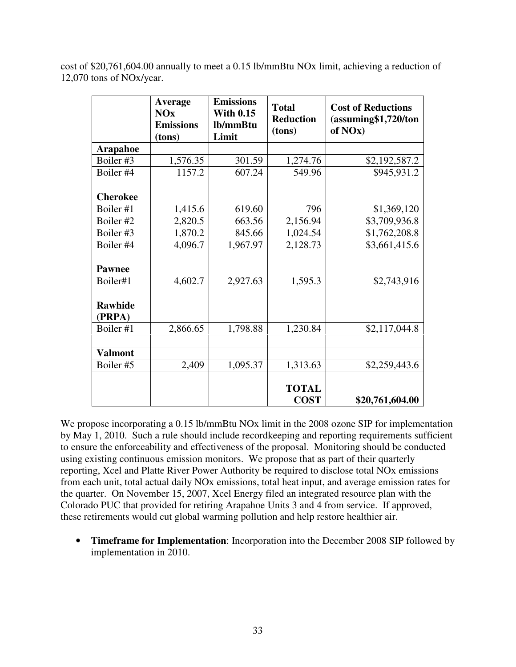cost of \$20,761,604.00 annually to meet a 0.15 lb/mmBtu NOx limit, achieving a reduction of 12,070 tons of NOx/year.

|                          | Average<br><b>NOx</b><br><b>Emissions</b><br>(tons) | <b>Emissions</b><br><b>With 0.15</b><br>lb/mmBtu<br>Limit | <b>Total</b><br><b>Reduction</b><br>(tons) | <b>Cost of Reductions</b><br>(assuming\$1,720/ton<br>of NO <sub>x</sub> ) |
|--------------------------|-----------------------------------------------------|-----------------------------------------------------------|--------------------------------------------|---------------------------------------------------------------------------|
| <b>Arapahoe</b>          |                                                     |                                                           |                                            |                                                                           |
| Boiler #3                | 1,576.35                                            | 301.59                                                    | 1,274.76                                   | \$2,192,587.2                                                             |
| Boiler #4                | 1157.2                                              | 607.24                                                    | 549.96                                     | \$945,931.2                                                               |
|                          |                                                     |                                                           |                                            |                                                                           |
| <b>Cherokee</b>          |                                                     |                                                           |                                            |                                                                           |
| Boiler #1                | 1,415.6                                             | 619.60                                                    | 796                                        | \$1,369,120                                                               |
| Boiler #2                | 2,820.5                                             | 663.56                                                    | 2,156.94                                   | \$3,709,936.8                                                             |
| Boiler #3                | 1,870.2                                             | 845.66                                                    | 1,024.54                                   | \$1,762,208.8                                                             |
| Boiler #4                | 4,096.7                                             | 1,967.97                                                  | 2,128.73                                   | \$3,661,415.6                                                             |
|                          |                                                     |                                                           |                                            |                                                                           |
| <b>Pawnee</b>            |                                                     |                                                           |                                            |                                                                           |
| Boiler#1                 | 4,602.7                                             | 2,927.63                                                  | 1,595.3                                    | \$2,743,916                                                               |
|                          |                                                     |                                                           |                                            |                                                                           |
| <b>Rawhide</b><br>(PRPA) |                                                     |                                                           |                                            |                                                                           |
| Boiler #1                | 2,866.65                                            | 1,798.88                                                  | 1,230.84                                   | \$2,117,044.8                                                             |
|                          |                                                     |                                                           |                                            |                                                                           |
| <b>Valmont</b>           |                                                     |                                                           |                                            |                                                                           |
| Boiler #5                | 2,409                                               | 1,095.37                                                  | 1,313.63                                   | \$2,259,443.6                                                             |
|                          |                                                     |                                                           | <b>TOTAL</b><br><b>COST</b>                | \$20,761,604.00                                                           |

We propose incorporating a 0.15 lb/mmBtu NOx limit in the 2008 ozone SIP for implementation by May 1, 2010. Such a rule should include recordkeeping and reporting requirements sufficient to ensure the enforceability and effectiveness of the proposal. Monitoring should be conducted using existing continuous emission monitors. We propose that as part of their quarterly reporting, Xcel and Platte River Power Authority be required to disclose total NOx emissions from each unit, total actual daily NOx emissions, total heat input, and average emission rates for the quarter. On November 15, 2007, Xcel Energy filed an integrated resource plan with the Colorado PUC that provided for retiring Arapahoe Units 3 and 4 from service. If approved, these retirements would cut global warming pollution and help restore healthier air.

• **Timeframe for Implementation**: Incorporation into the December 2008 SIP followed by implementation in 2010.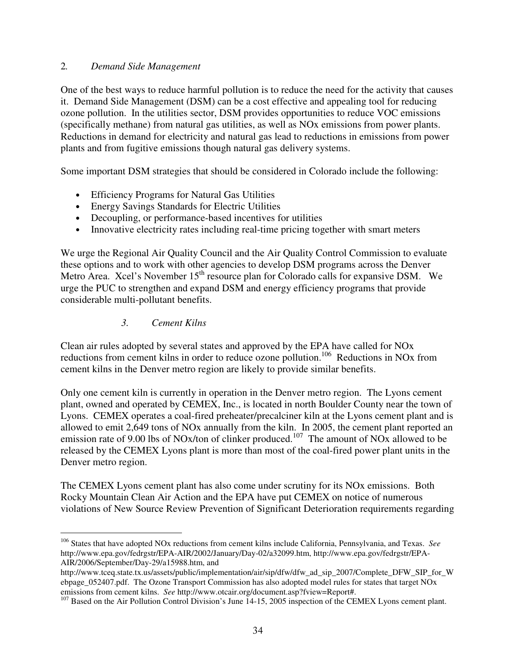#### 2*. Demand Side Management*

One of the best ways to reduce harmful pollution is to reduce the need for the activity that causes it. Demand Side Management (DSM) can be a cost effective and appealing tool for reducing ozone pollution. In the utilities sector, DSM provides opportunities to reduce VOC emissions (specifically methane) from natural gas utilities, as well as NOx emissions from power plants. Reductions in demand for electricity and natural gas lead to reductions in emissions from power plants and from fugitive emissions though natural gas delivery systems.

Some important DSM strategies that should be considered in Colorado include the following:

- Efficiency Programs for Natural Gas Utilities
- Energy Savings Standards for Electric Utilities
- Decoupling, or performance-based incentives for utilities
- Innovative electricity rates including real-time pricing together with smart meters

We urge the Regional Air Quality Council and the Air Quality Control Commission to evaluate these options and to work with other agencies to develop DSM programs across the Denver Metro Area. Xcel's November 15<sup>th</sup> resource plan for Colorado calls for expansive DSM. We urge the PUC to strengthen and expand DSM and energy efficiency programs that provide considerable multi-pollutant benefits.

*3. Cement Kilns*

Clean air rules adopted by several states and approved by the EPA have called for NOx reductions from cement kilns in order to reduce ozone pollution.<sup>106</sup> Reductions in NOx from cement kilns in the Denver metro region are likely to provide similar benefits.

Only one cement kiln is currently in operation in the Denver metro region. The Lyons cement plant, owned and operated by CEMEX, Inc., is located in north Boulder County near the town of Lyons. CEMEX operates a coal-fired preheater/precalciner kiln at the Lyons cement plant and is allowed to emit 2,649 tons of NOx annually from the kiln. In 2005, the cement plant reported an emission rate of 9.00 lbs of NOx/ton of clinker produced.<sup>107</sup> The amount of NOx allowed to be released by the CEMEX Lyons plant is more than most of the coal-fired power plant units in the Denver metro region.

The CEMEX Lyons cement plant has also come under scrutiny for its NOx emissions. Both Rocky Mountain Clean Air Action and the EPA have put CEMEX on notice of numerous violations of New Source Review Prevention of Significant Deterioration requirements regarding

 106 States that have adopted NOx reductions from cement kilns include California, Pennsylvania, and Texas. *See* http://www.epa.gov/fedrgstr/EPA-AIR/2002/January/Day-02/a32099.htm, http://www.epa.gov/fedrgstr/EPA-AIR/2006/September/Day-29/a15988.htm, and

http://www.tceq.state.tx.us/assets/public/implementation/air/sip/dfw/dfw\_ad\_sip\_2007/Complete\_DFW\_SIP\_for\_W ebpage\_052407.pdf. The Ozone Transport Commission has also adopted model rules for states that target NOx emissions from cement kilns. *See* http://www.otcair.org/document.asp?fview=Report#.

<sup>&</sup>lt;sup>107</sup> Based on the Air Pollution Control Division's June 14-15, 2005 inspection of the CEMEX Lyons cement plant.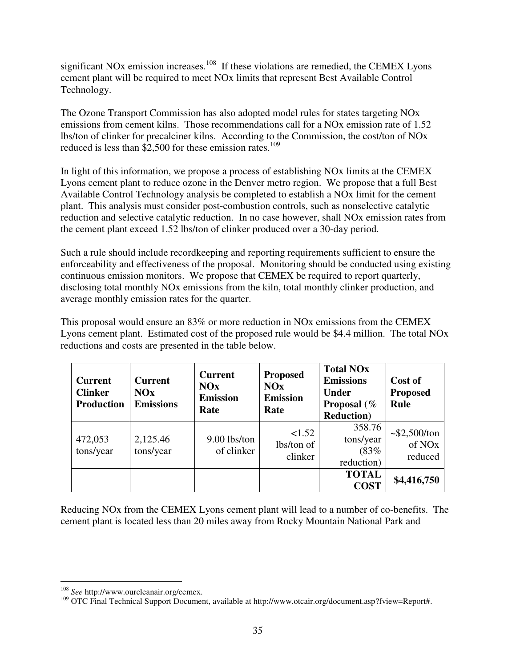significant NOx emission increases.<sup>108</sup> If these violations are remedied, the CEMEX Lyons cement plant will be required to meet NOx limits that represent Best Available Control Technology.

The Ozone Transport Commission has also adopted model rules for states targeting NOx emissions from cement kilns. Those recommendations call for a NOx emission rate of 1.52 lbs/ton of clinker for precalciner kilns. According to the Commission, the cost/ton of NOx reduced is less than \$2,500 for these emission rates.<sup>109</sup>

In light of this information, we propose a process of establishing NOx limits at the CEMEX Lyons cement plant to reduce ozone in the Denver metro region. We propose that a full Best Available Control Technology analysis be completed to establish a NOx limit for the cement plant. This analysis must consider post-combustion controls, such as nonselective catalytic reduction and selective catalytic reduction. In no case however, shall NOx emission rates from the cement plant exceed 1.52 lbs/ton of clinker produced over a 30-day period.

Such a rule should include recordkeeping and reporting requirements sufficient to ensure the enforceability and effectiveness of the proposal. Monitoring should be conducted using existing continuous emission monitors. We propose that CEMEX be required to report quarterly, disclosing total monthly NOx emissions from the kiln, total monthly clinker production, and average monthly emission rates for the quarter.

This proposal would ensure an 83% or more reduction in NOx emissions from the CEMEX Lyons cement plant. Estimated cost of the proposed rule would be \$4.4 million. The total NOx reductions and costs are presented in the table below.

| <b>Current</b><br><b>Clinker</b><br><b>Production</b> | <b>Current</b><br>NOx<br><b>Emissions</b> | <b>Current</b><br>NOx<br><b>Emission</b><br>Rate | <b>Proposed</b><br>NOx<br><b>Emission</b><br>Rate | <b>Total NOx</b><br><b>Emissions</b><br><b>Under</b><br>Proposal (%<br><b>Reduction</b> ) | Cost of<br><b>Proposed</b><br>Rule                  |
|-------------------------------------------------------|-------------------------------------------|--------------------------------------------------|---------------------------------------------------|-------------------------------------------------------------------------------------------|-----------------------------------------------------|
| 472,053<br>tons/year                                  | 2,125.46<br>tons/year                     | $9.00$ lbs/ton<br>of clinker                     | 1.52<br>lbs/ton of<br>clinker                     | 358.76<br>tons/year<br>(83%<br>reduction)                                                 | $\sim$ \$2,500/ton<br>of NO <sub>x</sub><br>reduced |
|                                                       |                                           |                                                  |                                                   | <b>TOTAL</b><br><b>COST</b>                                                               | \$4,416,750                                         |

Reducing NOx from the CEMEX Lyons cement plant will lead to a number of co-benefits. The cement plant is located less than 20 miles away from Rocky Mountain National Park and

 108 *See* http://www.ourcleanair.org/cemex.

<sup>109</sup> OTC Final Technical Support Document, available at http://www.otcair.org/document.asp?fview=Report#.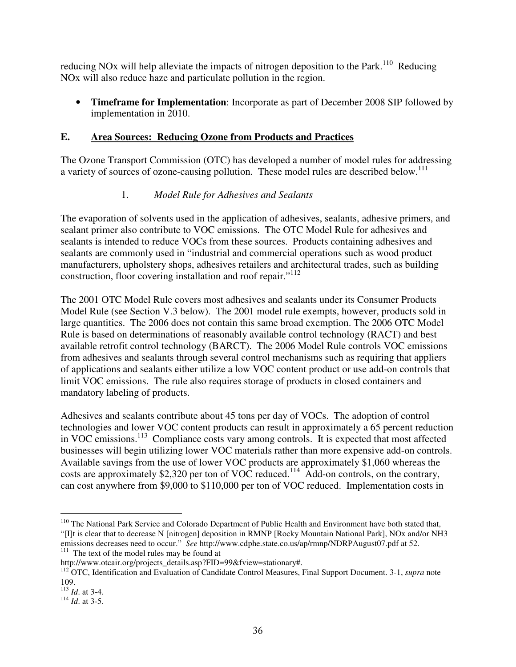reducing NOx will help alleviate the impacts of nitrogen deposition to the Park.<sup>110</sup> Reducing NOx will also reduce haze and particulate pollution in the region.

• **Timeframe for Implementation**: Incorporate as part of December 2008 SIP followed by implementation in 2010.

### **E. Area Sources: Reducing Ozone from Products and Practices**

The Ozone Transport Commission (OTC) has developed a number of model rules for addressing a variety of sources of ozone-causing pollution. These model rules are described below.<sup>111</sup>

### 1. *Model Rule for Adhesives and Sealants*

The evaporation of solvents used in the application of adhesives, sealants, adhesive primers, and sealant primer also contribute to VOC emissions. The OTC Model Rule for adhesives and sealants is intended to reduce VOCs from these sources. Products containing adhesives and sealants are commonly used in "industrial and commercial operations such as wood product manufacturers, upholstery shops, adhesives retailers and architectural trades, such as building construction, floor covering installation and roof repair."<sup>112</sup>

The 2001 OTC Model Rule covers most adhesives and sealants under its Consumer Products Model Rule (see Section V.3 below). The 2001 model rule exempts, however, products sold in large quantities. The 2006 does not contain this same broad exemption. The 2006 OTC Model Rule is based on determinations of reasonably available control technology (RACT) and best available retrofit control technology (BARCT). The 2006 Model Rule controls VOC emissions from adhesives and sealants through several control mechanisms such as requiring that appliers of applications and sealants either utilize a low VOC content product or use add-on controls that limit VOC emissions. The rule also requires storage of products in closed containers and mandatory labeling of products.

Adhesives and sealants contribute about 45 tons per day of VOCs. The adoption of control technologies and lower VOC content products can result in approximately a 65 percent reduction in VOC emissions. <sup>113</sup> Compliance costs vary among controls. It is expected that most affected businesses will begin utilizing lower VOC materials rather than more expensive add-on controls. Available savings from the use of lower VOC products are approximately \$1,060 whereas the costs are approximately \$2,320 per ton of VOC reduced.<sup>114</sup> Add-on controls, on the contrary, can cost anywhere from \$9,000 to \$110,000 per ton of VOC reduced. Implementation costs in

<sup>-</sup><sup>110</sup> The National Park Service and Colorado Department of Public Health and Environment have both stated that, "[I]t is clear that to decrease N [nitrogen] deposition in RMNP [Rocky Mountain National Park], NOx and/or NH3 emissions decreases need to occur." *See* http://www.cdphe.state.co.us/ap/rmnp/NDRPAugust07.pdf at 52. <sup>111</sup> The text of the model rules may be found at

http://www.otcair.org/projects\_details.asp?FID=99&fview=stationary#.

<sup>&</sup>lt;sup>112</sup> OTC, Identification and Evaluation of Candidate Control Measures, Final Support Document. 3-1, *supra* note 109.

<sup>113</sup> *Id*. at 3-4.

<sup>114</sup> *Id*. at 3-5.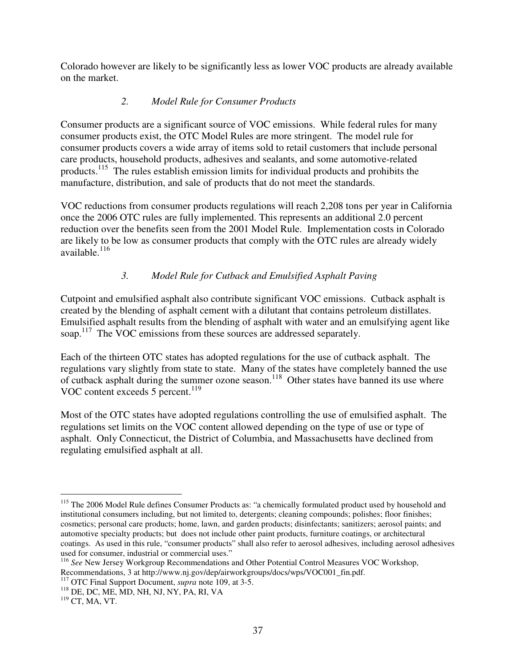Colorado however are likely to be significantly less as lower VOC products are already available on the market.

## *2. Model Rule for Consumer Products*

Consumer products are a significant source of VOC emissions. While federal rules for many consumer products exist, the OTC Model Rules are more stringent. The model rule for consumer products covers a wide array of items sold to retail customers that include personal care products, household products, adhesives and sealants, and some automotive-related products.<sup>115</sup> The rules establish emission limits for individual products and prohibits the manufacture, distribution, and sale of products that do not meet the standards.

VOC reductions from consumer products regulations will reach 2,208 tons per year in California once the 2006 OTC rules are fully implemented. This represents an additional 2.0 percent reduction over the benefits seen from the 2001 Model Rule. Implementation costs in Colorado are likely to be low as consumer products that comply with the OTC rules are already widely available. 116

# *3. Model Rule for Cutback and Emulsified Asphalt Paving*

Cutpoint and emulsified asphalt also contribute significant VOC emissions. Cutback asphalt is created by the blending of asphalt cement with a dilutant that contains petroleum distillates. Emulsified asphalt results from the blending of asphalt with water and an emulsifying agent like soap.<sup>117</sup> The VOC emissions from these sources are addressed separately.

Each of the thirteen OTC states has adopted regulations for the use of cutback asphalt. The regulations vary slightly from state to state. Many of the states have completely banned the use of cutback asphalt during the summer ozone season.<sup>118</sup> Other states have banned its use where VOC content exceeds 5 percent.<sup>119</sup>

Most of the OTC states have adopted regulations controlling the use of emulsified asphalt. The regulations set limits on the VOC content allowed depending on the type of use or type of asphalt. Only Connecticut, the District of Columbia, and Massachusetts have declined from regulating emulsified asphalt at all.

<sup>-</sup><sup>115</sup> The 2006 Model Rule defines Consumer Products as: "a chemically formulated product used by household and institutional consumers including, but not limited to, detergents; cleaning compounds; polishes; floor finishes; cosmetics; personal care products; home, lawn, and garden products; disinfectants; sanitizers; aerosol paints; and automotive specialty products; but does not include other paint products, furniture coatings, or architectural coatings. As used in this rule, "consumer products" shall also refer to aerosol adhesives, including aerosol adhesives used for consumer, industrial or commercial uses."

<sup>116</sup> *See* New Jersey Workgroup Recommendations and Other Potential Control Measures VOC Workshop, Recommendations, 3 at http://www.nj.gov/dep/airworkgroups/docs/wps/VOC001\_fin.pdf.

<sup>117</sup> OTC Final Support Document, *supra* note 109, at 3-5.

<sup>118</sup> DE, DC, ME, MD, NH, NJ, NY, PA, RI, VA

 $119$  CT, MA, VT.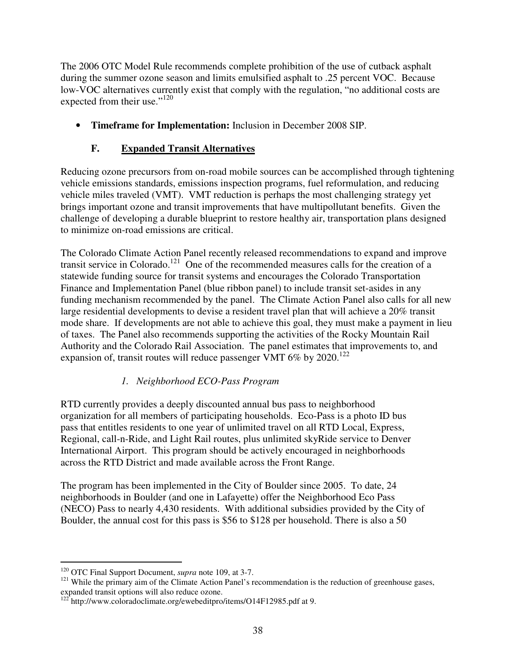The 2006 OTC Model Rule recommends complete prohibition of the use of cutback asphalt during the summer ozone season and limits emulsified asphalt to .25 percent VOC. Because low-VOC alternatives currently exist that comply with the regulation, "no additional costs are expected from their use."<sup>120</sup>

• **Timeframe for Implementation:** Inclusion in December 2008 SIP.

## **F. Expanded Transit Alternatives**

Reducing ozone precursors from on-road mobile sources can be accomplished through tightening vehicle emissions standards, emissions inspection programs, fuel reformulation, and reducing vehicle miles traveled (VMT). VMT reduction is perhaps the most challenging strategy yet brings important ozone and transit improvements that have multipollutant benefits. Given the challenge of developing a durable blueprint to restore healthy air, transportation plans designed to minimize on-road emissions are critical.

The Colorado Climate Action Panel recently released recommendations to expand and improve transit service in Colorado.<sup>121</sup> One of the recommended measures calls for the creation of a statewide funding source for transit systems and encourages the Colorado Transportation Finance and Implementation Panel (blue ribbon panel) to include transit set-asides in any funding mechanism recommended by the panel. The Climate Action Panel also calls for all new large residential developments to devise a resident travel plan that will achieve a 20% transit mode share. If developments are not able to achieve this goal, they must make a payment in lieu of taxes. The Panel also recommends supporting the activities of the Rocky Mountain Rail Authority and the Colorado Rail Association. The panel estimates that improvements to, and expansion of, transit routes will reduce passenger VMT 6% by  $2020$ .<sup>122</sup>

### *1. Neighborhood ECO-Pass Program*

RTD currently provides a deeply discounted annual bus pass to neighborhood organization for all members of participating households. Eco-Pass is a photo ID bus pass that entitles residents to one year of unlimited travel on all RTD Local, Express, Regional, call-n-Ride, and Light Rail routes, plus unlimited skyRide service to Denver International Airport. This program should be actively encouraged in neighborhoods across the RTD District and made available across the Front Range.

The program has been implemented in the City of Boulder since 2005. To date, 24 neighborhoods in Boulder (and one in Lafayette) offer the Neighborhood Eco Pass (NECO) Pass to nearly 4,430 residents. With additional subsidies provided by the City of Boulder, the annual cost for this pass is \$56 to \$128 per household. There is also a 50

 $\overline{a}$ 

<sup>120</sup> OTC Final Support Document, *supra* note 109, at 3-7.

<sup>&</sup>lt;sup>121</sup> While the primary aim of the Climate Action Panel's recommendation is the reduction of greenhouse gases, expanded transit options will also reduce ozone.

<sup>&</sup>lt;sup>122</sup> http://www.coloradoclimate.org/ewebeditpro/items/O14F12985.pdf at 9.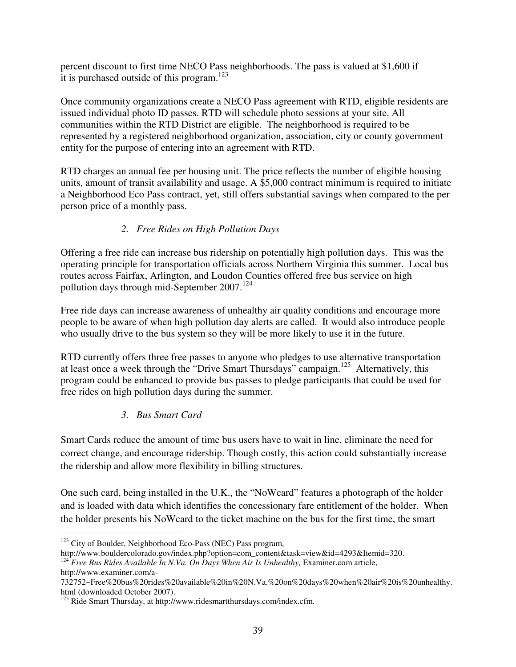percent discount to first time NECO Pass neighborhoods. The pass is valued at \$1,600 if it is purchased outside of this program.<sup>123</sup>

Once community organizations create a NECO Pass agreement with RTD, eligible residents are issued individual photo ID passes. RTD will schedule photo sessions at your site. All communities within the RTD District are eligible. The neighborhood is required to be represented by a registered neighborhood organization, association, city or county government entity for the purpose of entering into an agreement with RTD.

RTD charges an annual fee per housing unit. The price reflects the number of eligible housing units, amount of transit availability and usage. A \$5,000 contract minimum is required to initiate a Neighborhood Eco Pass contract, yet, still offers substantial savings when compared to the per person price of a monthly pass.

# *2. Free Rides on High Pollution Days*

Offering a free ride can increase bus ridership on potentially high pollution days. This was the operating principle for transportation officials across Northern Virginia this summer. Local bus routes across Fairfax, Arlington, and Loudon Counties offered free bus service on high pollution days through mid-September 2007.<sup>124</sup>

Free ride days can increase awareness of unhealthy air quality conditions and encourage more people to be aware of when high pollution day alerts are called. It would also introduce people who usually drive to the bus system so they will be more likely to use it in the future.

RTD currently offers three free passes to anyone who pledges to use alternative transportation at least once a week through the "Drive Smart Thursdays" campaign.<sup>125</sup> Alternatively, this program could be enhanced to provide bus passes to pledge participants that could be used for free rides on high pollution days during the summer.

### *3. Bus Smart Card*

Smart Cards reduce the amount of time bus users have to wait in line, eliminate the need for correct change, and encourage ridership. Though costly, this action could substantially increase the ridership and allow more flexibility in billing structures.

One such card, being installed in the U.K., the "NoWcard" features a photograph of the holder and is loaded with data which identifies the concessionary fare entitlement of the holder. When the holder presents his NoWcard to the ticket machine on the bus for the first time, the smart

-

<sup>&</sup>lt;sup>123</sup> City of Boulder, Neighborhood Eco-Pass (NEC) Pass program,

http://www.bouldercolorado.gov/index.php?option=com\_content&task=view&id=4293&Itemid=320.

<sup>124</sup> *Free Bus Rides Available In N.Va. On Days When Air Is Unhealthy,* Examiner.com article, http://www.examiner.com/a-

<sup>732752~</sup>Free%20bus%20rides%20available%20in%20N.Va.%20on%20days%20when%20air%20is%20unhealthy. html (downloaded October 2007).

<sup>&</sup>lt;sup>125</sup> Ride Smart Thursday, at http://www.ridesmartthursdays.com/index.cfm.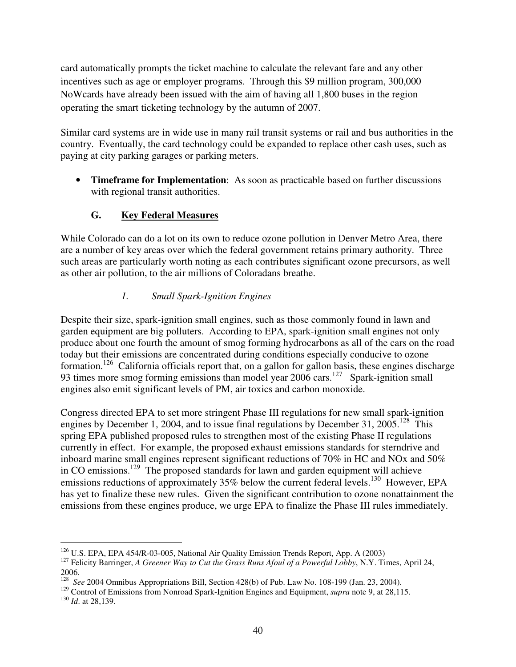card automatically prompts the ticket machine to calculate the relevant fare and any other incentives such as age or employer programs. Through this \$9 million program, 300,000 NoWcards have already been issued with the aim of having all 1,800 buses in the region operating the smart ticketing technology by the autumn of 2007.

Similar card systems are in wide use in many rail transit systems or rail and bus authorities in the country. Eventually, the card technology could be expanded to replace other cash uses, such as paying at city parking garages or parking meters.

• **Timeframe for Implementation**: As soon as practicable based on further discussions with regional transit authorities.

# **G. Key Federal Measures**

While Colorado can do a lot on its own to reduce ozone pollution in Denver Metro Area, there are a number of key areas over which the federal government retains primary authority. Three such areas are particularly worth noting as each contributes significant ozone precursors, as well as other air pollution, to the air millions of Coloradans breathe.

### *1. Small Spark-Ignition Engines*

Despite their size, spark-ignition small engines, such as those commonly found in lawn and garden equipment are big polluters. According to EPA, spark-ignition small engines not only produce about one fourth the amount of smog forming hydrocarbons as all of the cars on the road today but their emissions are concentrated during conditions especially conducive to ozone formation.<sup>126</sup> California officials report that, on a gallon for gallon basis, these engines discharge 93 times more smog forming emissions than model year 2006 cars.<sup>127</sup> Spark-ignition small engines also emit significant levels of PM, air toxics and carbon monoxide.

Congress directed EPA to set more stringent Phase III regulations for new small spark-ignition engines by December 1, 2004, and to issue final regulations by December 31, 2005.<sup>128</sup> This spring EPA published proposed rules to strengthen most of the existing Phase II regulations currently in effect. For example, the proposed exhaust emissions standards for sterndrive and inboard marine small engines represent significant reductions of 70% in HC and NOx and 50% in CO emissions.<sup>129</sup> The proposed standards for lawn and garden equipment will achieve emissions reductions of approximately 35% below the current federal levels.<sup>130</sup> However, EPA has yet to finalize these new rules. Given the significant contribution to ozone nonattainment the emissions from these engines produce, we urge EPA to finalize the Phase III rules immediately.

<sup>-</sup><sup>126</sup> U.S. EPA, EPA 454/R-03-005, National Air Quality Emission Trends Report, App. A (2003)

<sup>127</sup> Felicity Barringer, *A Greener Way to Cut the Grass Runs Afoul of a Powerful Lobby*, N.Y. Times, April 24,

<sup>2006.</sup> 128 *See* 2004 Omnibus Appropriations Bill, Section 428(b) of Pub. Law No. 108-199 (Jan. 23, 2004).

<sup>&</sup>lt;sup>129</sup> Control of Emissions from Nonroad Spark-Ignition Engines and Equipment, *supra* note 9, at 28,115.

<sup>130</sup> *Id*. at 28,139.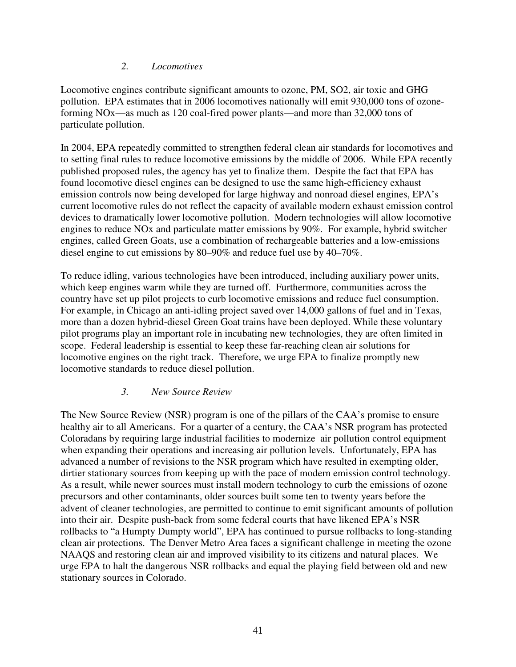#### *2. Locomotives*

Locomotive engines contribute significant amounts to ozone, PM, SO2, air toxic and GHG pollution. EPA estimates that in 2006 locomotives nationally will emit 930,000 tons of ozoneforming NOx—as much as 120 coal-fired power plants—and more than 32,000 tons of particulate pollution.

In 2004, EPA repeatedly committed to strengthen federal clean air standards for locomotives and to setting final rules to reduce locomotive emissions by the middle of 2006. While EPA recently published proposed rules, the agency has yet to finalize them. Despite the fact that EPA has found locomotive diesel engines can be designed to use the same high-efficiency exhaust emission controls now being developed for large highway and nonroad diesel engines, EPA's current locomotive rules do not reflect the capacity of available modern exhaust emission control devices to dramatically lower locomotive pollution. Modern technologies will allow locomotive engines to reduce NOx and particulate matter emissions by 90%. For example, hybrid switcher engines, called Green Goats, use a combination of rechargeable batteries and a low-emissions diesel engine to cut emissions by 80–90% and reduce fuel use by 40–70%.

To reduce idling, various technologies have been introduced, including auxiliary power units, which keep engines warm while they are turned off. Furthermore, communities across the country have set up pilot projects to curb locomotive emissions and reduce fuel consumption. For example, in Chicago an anti-idling project saved over 14,000 gallons of fuel and in Texas, more than a dozen hybrid-diesel Green Goat trains have been deployed. While these voluntary pilot programs play an important role in incubating new technologies, they are often limited in scope. Federal leadership is essential to keep these far-reaching clean air solutions for locomotive engines on the right track. Therefore, we urge EPA to finalize promptly new locomotive standards to reduce diesel pollution.

#### *3. New Source Review*

The New Source Review (NSR) program is one of the pillars of the CAA's promise to ensure healthy air to all Americans. For a quarter of a century, the CAA's NSR program has protected Coloradans by requiring large industrial facilities to modernize air pollution control equipment when expanding their operations and increasing air pollution levels. Unfortunately, EPA has advanced a number of revisions to the NSR program which have resulted in exempting older, dirtier stationary sources from keeping up with the pace of modern emission control technology. As a result, while newer sources must install modern technology to curb the emissions of ozone precursors and other contaminants, older sources built some ten to twenty years before the advent of cleaner technologies, are permitted to continue to emit significant amounts of pollution into their air. Despite push-back from some federal courts that have likened EPA's NSR rollbacks to "a Humpty Dumpty world", EPA has continued to pursue rollbacks to long-standing clean air protections. The Denver Metro Area faces a significant challenge in meeting the ozone NAAQS and restoring clean air and improved visibility to its citizens and natural places. We urge EPA to halt the dangerous NSR rollbacks and equal the playing field between old and new stationary sources in Colorado.